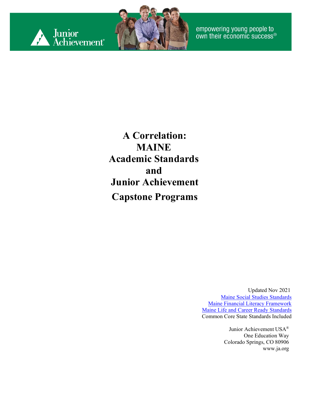



empowering young people to<br>own their economic success®

**A Correlation: MAINE Academic Standards and Junior Achievement Capstone Programs**

> Updated Nov 2021 [Maine Social Studies Standards](https://www.maine.gov/doe/sites/maine.gov.doe/files/inline-files/Maine%20Learning%20Results%20for%20Social%20Studies%20-%20Revised%202019_5.pdf) [Maine Financial Literacy Framework](https://docs.google.com/document/d/1sgvfjAqmM69UFa4ID10rV9vDRA8-pRsiV7j8wFMXgYE/edit) [Maine Life and Career Ready Standards](https://www.maine.gov/doe/learning/content/career/standards) Common Core State Standards Included

> > Junior Achievement USA® One Education Way Colorado Springs, CO 80906 [www.ja.org](http://www.ja.org/)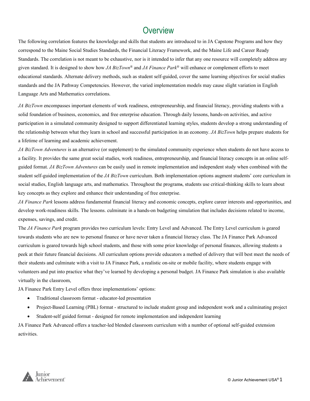#### **Overview**

The following correlation features the knowledge and skills that students are introduced to in JA Capstone Programs and how they correspond to the Maine Social Studies Standards, the Financial Literacy Framework, and the Maine Life and Career Ready Standards. The correlation is not meant to be exhaustive, nor is it intended to infer that any one resource will completely address any given standard. It is designed to show how *JA BizTown®* and *JA Finance Park®* will enhance or complement efforts to meet educational standards. Alternate delivery methods, such as student self-guided, cover the same learning objectives for social studies standards and the JA Pathway Competencies. However, the varied implementation models may cause slight variation in English Language Arts and Mathematics correlations.

*JA BizTown* encompasses important elements of work readiness, entrepreneurship, and financial literacy, providing students with a solid foundation of business, economics, and free enterprise education. Through daily lessons, hands-on activities, and active participation in a simulated community designed to support differentiated learning styles, students develop a strong understanding of the relationship between what they learn in school and successful participation in an economy. *JA BizTown* helps prepare students for a lifetime of learning and academic achievement.

*JA BizTown Adventures* is an alternative (or supplement) to the simulated community experience when students do not have access to a facility. It provides the same great social studies, work readiness, entrepreneurship, and financial literacy concepts in an online selfguided format. *JA BizTown Adventures* can be easily used in remote implementation and independent study when combined with the student self-guided implementation of the *JA BizTown* curriculum. Both implementation options augment students' core curriculum in social studies, English language arts, and mathematics. Throughout the programs, students use critical-thinking skills to learn about key concepts as they explore and enhance their understanding of free enterprise.

*JA Finance Park* lessons address fundamental financial literacy and economic concepts, explore career interests and opportunities, and develop work-readiness skills. The lessons. culminate in a hands-on budgeting simulation that includes decisions related to income, expenses, savings, and credit.

The *JA Finance Park* program provides two curriculum levels: Entry Level and Advanced. The Entry Level curriculum is geared towards students who are new to personal finance or have never taken a financial literacy class. The JA Finance Park Advanced curriculum is geared towards high school students, and those with some prior knowledge of personal finances, allowing students a peek at their future financial decisions. All curriculum options provide educators a method of delivery that will best meet the needs of their students and culminate with a visit to JA Finance Park, a realistic on-site or mobile facility, where students engage with volunteers and put into practice what they've learned by developing a personal budget. JA Finance Park simulation is also available virtually in the classroom,

JA Finance Park Entry Level offers three implementations' options:

- Traditional classroom format educator-led presentation
- Project-Based Learning (PBL) format structured to include student group and independent work and a culminating project
- Student-self guided format designed for remote implementation and independent learning

JA Finance Park Advanced offers a teacher-led blended classroom curriculum with a number of optional self-guided extension activities.

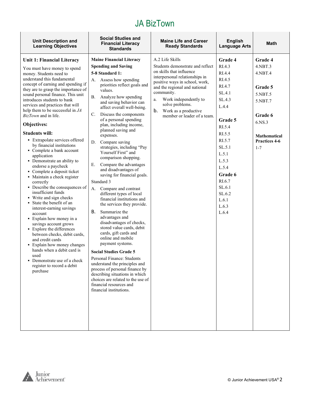| <b>Unit Description and</b><br><b>Learning Objectives</b>            | <b>Social Studies and</b><br><b>Financial Literacy</b><br><b>Standards</b>                                                      | <b>Maine Life and Career</b><br><b>Ready Standards</b>       | <b>English</b><br><b>Language Arts</b> | <b>Math</b>                     |
|----------------------------------------------------------------------|---------------------------------------------------------------------------------------------------------------------------------|--------------------------------------------------------------|----------------------------------------|---------------------------------|
| Unit 1: Financial Literacy                                           | <b>Maine Financial Literacy</b>                                                                                                 | A.2 Life Skills                                              | Grade 4                                | Grade 4                         |
| You must have money to spend                                         | <b>Spending and Saving</b>                                                                                                      | Students demonstrate and reflect<br>on skills that influence | RI.4.3                                 | 4.NBT.3                         |
| money. Students need to<br>understand this fundamental               | 5-8 Standard 1:                                                                                                                 | interpersonal relationships in                               | RI.4.4                                 | $4.$ NBT $.4$                   |
| concept of earning and spending if                                   | Assess how spending<br>А.<br>priorities reflect goals and                                                                       | positive ways in school, work,                               | RI.4.5<br>RI.4.7                       |                                 |
| they are to grasp the importance of                                  | values.                                                                                                                         | and the regional and national<br>community.                  | SL.4.1                                 | Grade 5<br>5.NBT.5              |
| sound personal finance. This unit<br>introduces students to bank     | Analyze how spending<br>В.                                                                                                      | Work independently to<br>a.                                  | SL.4.3                                 | 5.NBT.7                         |
| services and practices that will                                     | and saving behavior can<br>affect overall well-being.                                                                           | solve problems.                                              | L.4.4                                  |                                 |
| help them to be successful in JA<br>BizTown and in life.             | Discuss the components<br>C.                                                                                                    | b.<br>Work as a productive<br>member or leader of a team.    |                                        | Grade 6                         |
| Objectives:                                                          | of a personal spending<br>plan, including income,                                                                               |                                                              | Grade 5                                | 6.NS.3                          |
|                                                                      | planned saving and                                                                                                              |                                                              | RI.5.4                                 |                                 |
| <b>Students will:</b><br>• Extrapolate services offered              | expenses.                                                                                                                       |                                                              | RI.5.5<br>RI.5.7                       | <b>Mathematical</b>             |
| by financial institutions                                            | Compare saving<br>D.<br>strategies, including "Pay                                                                              |                                                              | SL.5.1                                 | <b>Practices 4-6</b><br>$1 - 7$ |
| • Complete a bank account                                            | Yourself First" and                                                                                                             |                                                              | L.5.1                                  |                                 |
| application<br>• Demonstrate an ability to                           | comparison shopping.                                                                                                            |                                                              | L.5.3                                  |                                 |
| endorse a paycheck                                                   | Compare the advantages<br>Е.<br>and disadvantages of                                                                            |                                                              | L.5.4                                  |                                 |
| • Complete a deposit ticket<br>• Maintain a check register           | saving for financial goals.                                                                                                     |                                                              | Grade 6                                |                                 |
| correctly                                                            | Standard 3                                                                                                                      |                                                              | RI.6.7                                 |                                 |
| • Describe the consequences of<br>insufficient funds                 | Compare and contrast<br>А.<br>different types of local                                                                          |                                                              | SL.6.1<br>SL.6.2                       |                                 |
| • Write and sign checks                                              | financial institutions and                                                                                                      |                                                              | L.6.1                                  |                                 |
| State the benefit of an<br>interest-earning savings                  | the services they provide.                                                                                                      |                                                              | L.6.3                                  |                                 |
| account                                                              | В.<br>Summarize the                                                                                                             |                                                              | L.6.4                                  |                                 |
| • Explain how money in a<br>savings account grows                    | advantages and<br>disadvantages of checks,                                                                                      |                                                              |                                        |                                 |
| • Explore the differences                                            | stored value cards, debit                                                                                                       |                                                              |                                        |                                 |
| between checks, debit cards,<br>and credit cards                     | cards, gift cards and<br>online and mobile                                                                                      |                                                              |                                        |                                 |
| • Explain how money changes                                          | payment systems.                                                                                                                |                                                              |                                        |                                 |
| hands when a debit card is<br>used                                   | <b>Social Studies Grade 5</b>                                                                                                   |                                                              |                                        |                                 |
| Demonstrate use of a check<br>register to record a debit<br>purchase | Personal Finance: Students<br>understand the principles and<br>process of personal finance by<br>describing situations in which |                                                              |                                        |                                 |
|                                                                      | choices are related to the use of<br>financial resources and<br>financial institutions.                                         |                                                              |                                        |                                 |
|                                                                      |                                                                                                                                 |                                                              |                                        |                                 |
|                                                                      |                                                                                                                                 |                                                              |                                        |                                 |
|                                                                      |                                                                                                                                 |                                                              |                                        |                                 |



г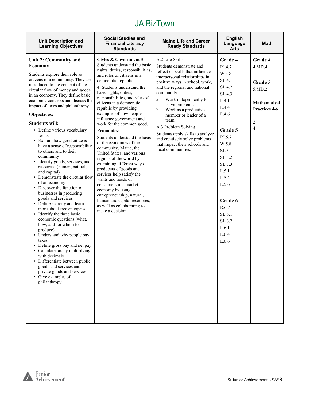| <b>Unit Description and</b><br><b>Learning Objectives</b>            | <b>Social Studies and</b><br><b>Financial Literacy</b><br><b>Standards</b> | <b>Maine Life and Career</b><br><b>Ready Standards</b>             | <b>English</b><br>Language<br>Arts | <b>Math</b>          |
|----------------------------------------------------------------------|----------------------------------------------------------------------------|--------------------------------------------------------------------|------------------------------------|----------------------|
| Unit 2: Community and                                                | Civics & Government 3:                                                     | A.2 Life Skills                                                    | Grade 4                            | Grade 4              |
| <b>Economy</b>                                                       | Students understand the basic                                              | Students demonstrate and                                           | RI.4.7                             | 4.MD.4               |
| Students explore their role as                                       | rights, duties, responsibilities,<br>and roles of citizens in a            | reflect on skills that influence<br>interpersonal relationships in | W.4.8                              |                      |
| citizens of a community. They are                                    | democratic republic                                                        | positive ways in school, work,                                     | SL.4.1                             | Grade 5              |
| introduced to the concept of the<br>circular flow of money and goods | 4: Students understand the                                                 | and the regional and national                                      | SL.4.2                             | 5.MD.2               |
| in an economy. They define basic                                     | basic rights, duties,<br>responsibilities, and roles of                    | community.                                                         | SL.4.3                             |                      |
| economic concepts and discuss the                                    | citizens in a democratic                                                   | Work independently to<br>a.<br>solve problems.                     | L.4.1                              | <b>Mathematical</b>  |
| impact of taxes and philanthropy.                                    | republic by providing                                                      | $\mathbf b$ .<br>Work as a productive                              | L.4.4                              | <b>Practices 4-6</b> |
| Objectives:                                                          | examples of how people                                                     | member or leader of a                                              | L.4.6                              | $\mathbf{1}$         |
| <b>Students will:</b>                                                | influence government and<br>work for the common good,                      | team.                                                              |                                    | 2                    |
| • Define various vocabulary                                          | <b>Economics:</b>                                                          | A.3 Problem Solving                                                | Grade 5                            | 4                    |
| terms                                                                | Students understand the basis                                              | Students apply skills to analyze<br>and creatively solve problems  | RI.5.7                             |                      |
| • Explain how good citizens<br>have a sense of responsibility        | of the economies of the                                                    | that impact their schools and                                      | W.5.8                              |                      |
| to others and to their                                               | community, Maine, the<br>United States, and various                        | local communities.                                                 | SL.5.1                             |                      |
| community                                                            | regions of the world by                                                    |                                                                    | SL.5.2                             |                      |
| • Identify goods, services, and<br>resources (human, natural,        | examining different ways                                                   |                                                                    | SL.5.3                             |                      |
| and capital)                                                         | producers of goods and<br>services help satisfy the                        |                                                                    | L.5.1                              |                      |
| • Demonstrate the circular flow                                      | wants and needs of                                                         |                                                                    | L.5.4                              |                      |
| of an economy<br>• Discover the function of                          | consumers in a market                                                      |                                                                    | L.5.6                              |                      |
| businesses in producing                                              | economy by using<br>entrepreneurship, natural,                             |                                                                    |                                    |                      |
| goods and services                                                   | human and capital resources,                                               |                                                                    | Grade 6                            |                      |
| • Define scarcity and learn<br>more about free enterprise            | as well as collaborating to                                                |                                                                    | R.6.7                              |                      |
| • Identify the three basic                                           | make a decision.                                                           |                                                                    | SL.6.1                             |                      |
| economic questions (what,                                            |                                                                            |                                                                    | SL.6.2                             |                      |
| how, and for whom to<br>produce)                                     |                                                                            |                                                                    | L.6.1                              |                      |
| • Understand why people pay                                          |                                                                            |                                                                    | L.6.4                              |                      |
| taxes                                                                |                                                                            |                                                                    | L.6.6                              |                      |
| • Define gross pay and net pay<br>• Calculate tax by multiplying     |                                                                            |                                                                    |                                    |                      |
| with decimals                                                        |                                                                            |                                                                    |                                    |                      |
| Differentiate between public                                         |                                                                            |                                                                    |                                    |                      |
| goods and services and<br>private goods and services                 |                                                                            |                                                                    |                                    |                      |
| Give examples of                                                     |                                                                            |                                                                    |                                    |                      |
| philanthropy                                                         |                                                                            |                                                                    |                                    |                      |
|                                                                      |                                                                            |                                                                    |                                    |                      |
|                                                                      |                                                                            |                                                                    |                                    |                      |
|                                                                      |                                                                            |                                                                    |                                    |                      |
|                                                                      |                                                                            |                                                                    |                                    |                      |
|                                                                      |                                                                            |                                                                    |                                    |                      |



 $\mathsf{r}$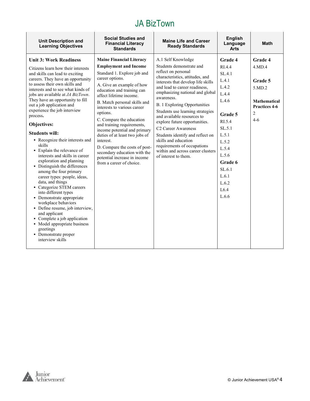| <b>Unit Description and</b><br><b>Learning Objectives</b>                                                                                                                                                                                                                                                                                                                                                                                                                                                                                                                                                                                                                                                                                                                                                                                                                                                                                                   | <b>Social Studies and</b><br><b>Financial Literacy</b><br><b>Standards</b>                                                                                                                                                                                                                                                                                                                                                                                                                                                                               | <b>Maine Life and Career</b><br><b>Ready Standards</b>                                                                                                                                                                                                                                                                                                                                                                                                                                                                                                    | <b>English</b><br>Language<br><b>Arts</b>                                                                                                                                                  | <b>Math</b>                                                                                  |
|-------------------------------------------------------------------------------------------------------------------------------------------------------------------------------------------------------------------------------------------------------------------------------------------------------------------------------------------------------------------------------------------------------------------------------------------------------------------------------------------------------------------------------------------------------------------------------------------------------------------------------------------------------------------------------------------------------------------------------------------------------------------------------------------------------------------------------------------------------------------------------------------------------------------------------------------------------------|----------------------------------------------------------------------------------------------------------------------------------------------------------------------------------------------------------------------------------------------------------------------------------------------------------------------------------------------------------------------------------------------------------------------------------------------------------------------------------------------------------------------------------------------------------|-----------------------------------------------------------------------------------------------------------------------------------------------------------------------------------------------------------------------------------------------------------------------------------------------------------------------------------------------------------------------------------------------------------------------------------------------------------------------------------------------------------------------------------------------------------|--------------------------------------------------------------------------------------------------------------------------------------------------------------------------------------------|----------------------------------------------------------------------------------------------|
| <b>Unit 3: Work Readiness</b><br>Citizens learn how their interests<br>and skills can lead to exciting<br>careers. They have an opportunity<br>to assess their own skills and<br>interests and to see what kinds of<br>jobs are available at JA BizTown.<br>They have an opportunity to fill<br>out a job application and<br>experience the job interview<br>process.<br>Objectives:<br><b>Students will:</b><br>• Recognize their interests and<br>skills<br>• Explain the relevance of<br>interests and skills in career<br>exploration and planning<br>· Distinguish the differences<br>among the four primary<br>career types: people, ideas,<br>data, and things<br>• Categorize STEM careers<br>into different types<br>• Demonstrate appropriate<br>workplace behaviors<br>• Define resume, job interview,<br>and applicant<br>• Complete a job application<br>• Model appropriate business<br>greetings<br>• Demonstrate proper<br>interview skills | <b>Maine Financial Literacy</b><br><b>Employment and Income</b><br>Standard 1. Explore job and<br>career options.<br>A. Give an example of how<br>education and training can<br>affect lifetime income.<br>B. Match personal skills and<br>interests to various career<br>options.<br>C. Compare the education<br>and training requirements,<br>income potential and primary<br>duties of at least two jobs of<br>interest.<br>D. Compare the costs of post-<br>secondary education with the<br>potential increase in income<br>from a career of choice. | A.1 Self Knowledge<br>Students demonstrate and<br>reflect on personal<br>characteristics, attitudes, and<br>interests that develop life skills<br>and lead to career readiness,<br>emphasizing national and global<br>awareness.<br><b>B.</b> 1 Exploring Opportunities<br>Students use learning strategies<br>and available resources to<br>explore future opportunities.<br>C2 Career Awareness<br>Students identify and reflect on<br>skills and education<br>requirements of occupations<br>within and across career clusters<br>of interest to them. | Grade 4<br>RI.4.4<br>SL.4.1<br>L.4.1<br>L.4.2<br>L.4.4<br>L.4.6<br>Grade 5<br>RI.5.4<br>SL.5.1<br>L.5.1<br>L.5.2<br>L.5.4<br>L.5.6<br>Grade 6<br>SL.6.1<br>L.6.1<br>L.6.2<br>L6.4<br>L.6.6 | Grade 4<br>4.MD.4<br>Grade 5<br>5.MD.2<br><b>Mathematical</b><br>Practices 4-6<br>2<br>$4-6$ |

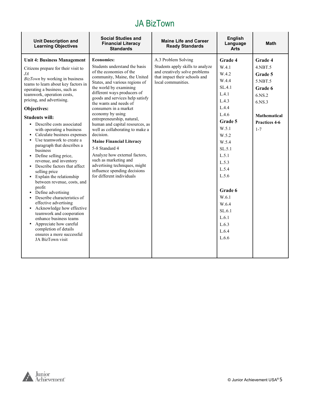| A.3 Problem Solving<br><b>Economics:</b><br>Grade 4<br><b>Unit 4: Business Management</b>                                                                                                                                                                                                                                                                                                                                                                                                                                                                                                                                                                                                                                                                                                                                                                                                                                                                                                                                                                                                                                                                                                                                                                                                                                                                                                                                                                                                                                                                                                                                                                                                                                                                                    | <b>Unit Description and</b><br><b>Learning Objectives</b> | <b>Social Studies and</b><br><b>Financial Literacy</b><br><b>Standards</b> | <b>Maine Life and Career</b><br><b>Ready Standards</b> | <b>English</b><br>Language<br><b>Arts</b> | <b>Math</b>                                                                                                           |
|------------------------------------------------------------------------------------------------------------------------------------------------------------------------------------------------------------------------------------------------------------------------------------------------------------------------------------------------------------------------------------------------------------------------------------------------------------------------------------------------------------------------------------------------------------------------------------------------------------------------------------------------------------------------------------------------------------------------------------------------------------------------------------------------------------------------------------------------------------------------------------------------------------------------------------------------------------------------------------------------------------------------------------------------------------------------------------------------------------------------------------------------------------------------------------------------------------------------------------------------------------------------------------------------------------------------------------------------------------------------------------------------------------------------------------------------------------------------------------------------------------------------------------------------------------------------------------------------------------------------------------------------------------------------------------------------------------------------------------------------------------------------------|-----------------------------------------------------------|----------------------------------------------------------------------------|--------------------------------------------------------|-------------------------------------------|-----------------------------------------------------------------------------------------------------------------------|
| of the economies of the<br>and creatively solve problems<br>JA<br>W.4.2<br>that impact their schools and<br>community, Maine, the United<br>BizTown by working in business<br>W.4.4<br>local communities.<br>States, and various regions of<br>teams to learn about key factors in<br>the world by examining<br>SL.4.1<br>operating a business, such as<br>different ways producers of<br>L.4.1<br>teamwork, operation costs,<br>goods and services help satisfy<br>pricing, and advertising.<br>L.4.3<br>the wants and needs of<br>L.4.4<br>Objectives:<br>consumers in a market<br>economy by using<br>L.4.6<br><b>Students will:</b><br>entrepreneurship, natural,<br>Grade 5<br>human and capital resources, as<br>• Describe costs associated<br>W.5.1<br>$1 - 7$<br>well as collaborating to make a<br>with operating a business<br>decision.<br>Calculate business expenses<br>W.5.2<br>• Use teamwork to create a<br><b>Maine Financial Literacy</b><br>W.5.4<br>paragraph that describes a<br>5-8 Standard 4<br>SL.5.1<br>business<br>Analyze how external factors,<br>• Define selling price,<br>L.5.1<br>such as marketing and<br>revenue, and inventory<br>L.5.3<br>advertising techniques, might<br>• Describe factors that affect<br>L.5.4<br>influence spending decisions<br>selling price<br>L.5.6<br>for different individuals<br>• Explain the relationship<br>between revenue, costs, and<br>profit<br>Grade 6<br>• Define advertising<br>W.6.1<br>• Describe characteristics of<br>effective advertising<br>W.6.4<br>• Acknowledge how effective<br>SL.6.1<br>teamwork and cooperation<br>L.6.1<br>enhance business teams<br>Appreciate how careful<br>L.6.3<br>completion of details<br>L.6.4<br>ensures a more successful<br>L.6.6<br>JA BizTown visit | Citizens prepare for their visit to                       | Students understand the basis                                              | Students apply skills to analyze                       | W.4.1                                     | Grade 4<br>$4.$ NBT $.5$<br>Grade 5<br>5.NBT.5<br>Grade 6<br>6.NS.2<br>6.NS.3<br><b>Mathematical</b><br>Practices 4-6 |

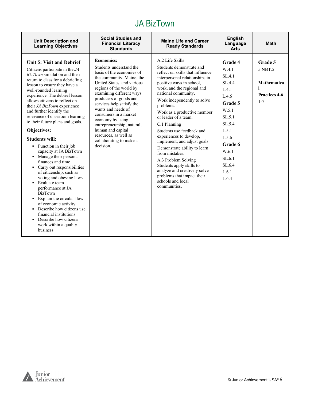| <b>Unit Description and</b><br><b>Learning Objectives</b>                                                                                                                                                                                                                                                                                                                                                                                                                                                                                                                                                                                                                                                                                                                                                                                                                 | <b>Social Studies and</b><br><b>Financial Literacy</b><br><b>Standards</b>                                                                                                                                                                                                                                                                                                                                                                | <b>Maine Life and Career</b><br><b>Ready Standards</b>                                                                                                                                                                                                                                                                                                                                                                                                                                                                                                                                                                | <b>English</b><br>Language<br><b>Arts</b>                                                                                                                                  | <b>Math</b>                                                                 |
|---------------------------------------------------------------------------------------------------------------------------------------------------------------------------------------------------------------------------------------------------------------------------------------------------------------------------------------------------------------------------------------------------------------------------------------------------------------------------------------------------------------------------------------------------------------------------------------------------------------------------------------------------------------------------------------------------------------------------------------------------------------------------------------------------------------------------------------------------------------------------|-------------------------------------------------------------------------------------------------------------------------------------------------------------------------------------------------------------------------------------------------------------------------------------------------------------------------------------------------------------------------------------------------------------------------------------------|-----------------------------------------------------------------------------------------------------------------------------------------------------------------------------------------------------------------------------------------------------------------------------------------------------------------------------------------------------------------------------------------------------------------------------------------------------------------------------------------------------------------------------------------------------------------------------------------------------------------------|----------------------------------------------------------------------------------------------------------------------------------------------------------------------------|-----------------------------------------------------------------------------|
| Unit 5: Visit and Debrief<br>Citizens participate in the $JA$<br>BizTown simulation and then<br>return to class for a debriefing<br>lesson to ensure they have a<br>well-rounded learning<br>experience. The debrief lesson<br>allows citizens to reflect on<br>their JA BizTown experience<br>and further identify the<br>relevance of classroom learning<br>to their future plans and goals.<br>Objectives:<br><b>Students will:</b><br>• Function in their job<br>capacity at JA BizTown<br>• Manage their personal<br>finances and time<br>• Carry out responsibilities<br>of citizenship, such as<br>voting and obeying laws<br>• Evaluate team<br>performance at JA<br><b>BizTown</b><br>• Explain the circular flow<br>of economic activity<br>• Describe how citizens use<br>financial institutions<br>Describe how citizens<br>work within a quality<br>business | <b>Economics:</b><br>Students understand the<br>basis of the economies of<br>the community, Maine, the<br>United States, and various<br>regions of the world by<br>examining different ways<br>producers of goods and<br>services help satisfy the<br>wants and needs of<br>consumers in a market<br>economy by using<br>entrepreneurship, natural,<br>human and capital<br>resources, as well as<br>collaborating to make a<br>decision. | A.2 Life Skills<br>Students demonstrate and<br>reflect on skills that influence<br>interpersonal relationships in<br>positive ways in school,<br>work, and the regional and<br>national community.<br>Work independently to solve<br>problems.<br>Work as a productive member<br>or leader of a team.<br>C.1 Planning<br>Students use feedback and<br>experiences to develop,<br>implement, and adjust goals.<br>Demonstrate ability to learn<br>from mistakes.<br>A.3 Problem Solving<br>Students apply skills to<br>analyze and creatively solve<br>problems that impact their<br>schools and local<br>communities. | Grade 4<br>W.4.1<br>SL.4.1<br>SL.4.4<br>L.4.1<br>L.4.6<br>Grade 5<br>W.5.1<br>SL.5.1<br>SL.5.4<br>L.5.1<br>L.5.6<br>Grade 6<br>W.6.1<br>SL.6.1<br>SL.6.4<br>L.6.1<br>L.6.4 | Grade 5<br>5.NBT.5<br><b>Mathematica</b><br><b>Practices 4-6</b><br>$1 - 7$ |

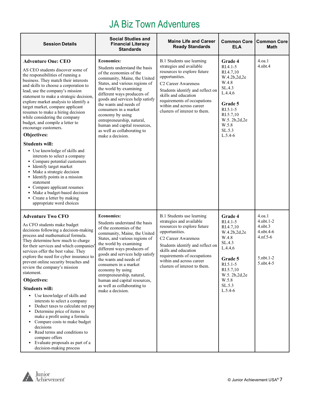### JA Biz Town Adventures

| <b>Session Details</b>                                                                                                                                                                                                                                                                                                                                                                                                                                                                                                                                                                                                                                                                                                                                              | <b>Social Studies and</b><br><b>Financial Literacy</b><br><b>Standards</b>                                                                                                                                                                                                                                                                                                                                                          | <b>Maine Life and Career</b><br><b>Ready Standards</b>                                                                                                                                                                                                                                            | <b>Common Core</b><br><b>ELA</b>                                                                                                                                       | <b>Common Core</b><br><b>Math</b>                                                               |
|---------------------------------------------------------------------------------------------------------------------------------------------------------------------------------------------------------------------------------------------------------------------------------------------------------------------------------------------------------------------------------------------------------------------------------------------------------------------------------------------------------------------------------------------------------------------------------------------------------------------------------------------------------------------------------------------------------------------------------------------------------------------|-------------------------------------------------------------------------------------------------------------------------------------------------------------------------------------------------------------------------------------------------------------------------------------------------------------------------------------------------------------------------------------------------------------------------------------|---------------------------------------------------------------------------------------------------------------------------------------------------------------------------------------------------------------------------------------------------------------------------------------------------|------------------------------------------------------------------------------------------------------------------------------------------------------------------------|-------------------------------------------------------------------------------------------------|
| <b>Adventure One: CEO</b><br>AS CEO students discover some of<br>the responsibilities of running a<br>business. They match their interests<br>and skills to choose a corporation to<br>lead, use the company's mission<br>statement to make a strategic decision,<br>explore market analysis to identify a<br>target market, compare applicant<br>resumes to make a hiring decision<br>while considering the company<br>budget, and compile a letter to<br>encourage customers.<br>Objectives:<br><b>Students will:</b><br>• Use knowledge of skills and<br>interests to select a company<br>• Compare potential customers<br>• Identify target market<br>• Make a strategic decision<br>• Identify points in a mission<br>statement<br>• Compare applicant resumes | <b>Economics:</b><br>Students understand the basis<br>of the economies of the<br>community, Maine, the United<br>States, and various regions of<br>the world by examining<br>different ways producers of<br>goods and services help satisfy<br>the wants and needs of<br>consumers in a market<br>economy by using<br>entrepreneurship, natural,<br>human and capital resources,<br>as well as collaborating to<br>make a decision. | B.1 Students use learning<br>strategies and available<br>resources to explore future<br>opportunities.<br>C <sub>2</sub> Career Awareness<br>Students identify and reflect on<br>skills and education<br>requirements of occupations<br>within and across career<br>clusters of interest to them. | Grade 4<br>$RI.4.1-5$<br>RI.4.7,10<br>W.4.2b,2d,2e<br>W.4.8<br>SL.4.3<br>L.4.4,6<br>Grade 5<br>$RI.5.1-5$<br>RI.5.7,10<br>W.5.2b,2d,2e<br>W.5.8<br>SL.5.3<br>$L.5.4-6$ | 4.oa.1<br>$4.$ nbt. $4$                                                                         |
| • Make a budget-based decision<br>• Create a letter by making<br>appropriate word choices                                                                                                                                                                                                                                                                                                                                                                                                                                                                                                                                                                                                                                                                           |                                                                                                                                                                                                                                                                                                                                                                                                                                     |                                                                                                                                                                                                                                                                                                   |                                                                                                                                                                        |                                                                                                 |
| <b>Adventure Two CFO</b><br>As CFO students make budget<br>decisions following a decision-making<br>process and mathematical formula.<br>They determine how much to charge<br>for their services and which companies'<br>services offer the best value. They<br>explore the need for cyber insurance to<br>prevent online security breaches and<br>review the company's mission<br>statement.<br>Objectives:                                                                                                                                                                                                                                                                                                                                                        | <b>Economics:</b><br>Students understand the basis<br>of the economies of the<br>community, Maine, the United<br>States, and various regions of<br>the world by examining<br>different ways producers of<br>goods and services help satisfy<br>the wants and needs of<br>consumers in a market<br>economy by using<br>entrepreneurship, natural,<br>human and capital resources,                                                    | B.1 Students use learning<br>strategies and available<br>resources to explore future<br>opportunities.<br>C <sub>2</sub> Career Awareness<br>Students identify and reflect on<br>skills and education<br>requirements of occupations<br>within and across career<br>clusters of interest to them. | Grade 4<br>$RI.4.1-5$<br>RI.4.7,10<br>W.4.2b,2d,2e<br>W.4.8<br>SL.4.3<br>L.4.4,6<br>Grade 5<br>$RI.5.1 - 5$<br>RI.5.7,10<br>W.5.2b,2d,2e<br>W.5.8                      | 4.oa.1<br>4.nbt.1-2<br>$4.$ nbt $.3$<br>4.nbt.4-6<br>$4.nf.5-6$<br>$5.$ nbt. $1-2$<br>5.nbt.4-5 |
| <b>Students will:</b><br>• Use knowledge of skills and<br>interests to select a company<br>Deduct taxes to calculate net pay<br>Determine price of items to<br>make a profit using a formula<br>• Compare costs to make budget<br>decisions<br>• Read terms and conditions to<br>compare offers<br>Evaluate proposals as part of a<br>decision-making process                                                                                                                                                                                                                                                                                                                                                                                                       | as well as collaborating to<br>make a decision.                                                                                                                                                                                                                                                                                                                                                                                     |                                                                                                                                                                                                                                                                                                   | SL.5.3<br>$L.5.4-6$                                                                                                                                                    |                                                                                                 |

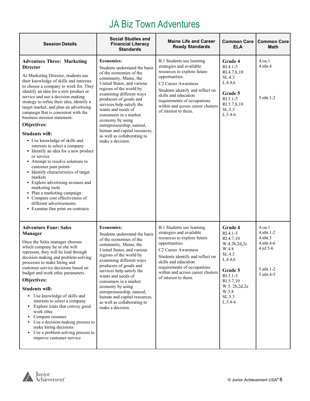#### JA Biz Town Adventures

| <b>Session Details</b>                                                                                                                                                                                                                                                                                                                                                                                                                                                                                                                                                                                                                                                                                                                                                                                                                                                                                 | <b>Social Studies and</b><br><b>Financial Literacy</b><br><b>Standards</b>                                                                                                                                                                                                                                                                                                                                                             | <b>Maine Life and Career</b><br><b>Ready Standards</b>                                                                                                                                                                                                                                            | <b>Common Core</b><br><b>ELA</b>                                                                                                                                          | <b>Common Core</b><br>Math                                                                      |
|--------------------------------------------------------------------------------------------------------------------------------------------------------------------------------------------------------------------------------------------------------------------------------------------------------------------------------------------------------------------------------------------------------------------------------------------------------------------------------------------------------------------------------------------------------------------------------------------------------------------------------------------------------------------------------------------------------------------------------------------------------------------------------------------------------------------------------------------------------------------------------------------------------|----------------------------------------------------------------------------------------------------------------------------------------------------------------------------------------------------------------------------------------------------------------------------------------------------------------------------------------------------------------------------------------------------------------------------------------|---------------------------------------------------------------------------------------------------------------------------------------------------------------------------------------------------------------------------------------------------------------------------------------------------|---------------------------------------------------------------------------------------------------------------------------------------------------------------------------|-------------------------------------------------------------------------------------------------|
| <b>Adventure Three: Marketing</b><br><b>Director</b><br>As Marketing Director, students use<br>their knowledge of skills and interests<br>to choose a company to work for. They<br>identify an idea for a new product or<br>service and use a decision-making<br>strategy to refine their idea, identify a<br>target market, and plan an advertising<br>campaign that is consistent with the<br>business mission statement.<br>Objectives:<br><b>Students will:</b><br>• Use knowledge of skills and<br>interests to select a company<br>• Identify an idea for a new product<br>or service<br>• Attempt to resolve solutions to<br>customer pain points<br>• Identify characteristics of target<br>markets<br>• Explore advertising avenues and<br>marketing tools<br>• Plan a marketing campaign<br>• Compare cost effectiveness of<br>different advertisements<br>• Examine fine print on contracts | <b>Economics:</b><br>Students understand the basis<br>of the economies of the<br>community, Maine, the<br>United States, and various<br>regions of the world by<br>examining different ways<br>producers of goods and<br>services help satisfy the<br>wants and needs of<br>consumers in a market<br>economy by using<br>entrepreneurship, natural,<br>human and capital resources,<br>as well as collaborating to<br>make a decision. | B.1 Students use learning<br>strategies and available<br>resources to explore future<br>opportunities.<br>C <sub>2</sub> Career Awareness<br>Students identify and reflect on<br>skills and education<br>requirements of occupations<br>within and across career clusters<br>of interest to them. | Grade 4<br>RI.4.1-5<br>RI.4.7,8,10<br>SL.4.3<br>L.4.4,6<br>Grade 5<br>$R1.5.1-5$<br>RI.5.7,8,10<br>SL.5.3<br>$L.5.4-6$                                                    | 4.0a.1<br>$4.$ nbt. $4$<br>5.nbt.1-2                                                            |
| <b>Adventure Four: Sales</b><br><b>Manager</b><br>Once the Sales manager chooses<br>which company he or she will<br>represent, they will be lead through<br>decision making and problem-solving<br>processes to make hiring and<br>customer service decisions based on<br>budget and work ethic parameters.<br>Objectives:<br><b>Students will:</b><br>• Use knowledge of skills and<br>interests to select a company<br>• Explore traits that convey good<br>work ethic<br>• Compare resumes<br>• Use a decision-making process to<br>make hiring decisions<br>• Use a problem-solving process to<br>improve customer service                                                                                                                                                                                                                                                                         | <b>Economics:</b><br>Students understand the basis<br>of the economies of the<br>community, Maine, the<br>United States, and various<br>regions of the world by<br>examining different ways<br>producers of goods and<br>services help satisfy the<br>wants and needs of<br>consumers in a market<br>economy by using<br>entrepreneurship, natural,<br>human and capital resources,<br>as well as collaborating to<br>make a decision. | B.1 Students use learning<br>strategies and available<br>resources to explore future<br>opportunities.<br>C <sub>2</sub> Career Awareness<br>Students identify and reflect on<br>skills and education<br>requirements of occupations<br>within and across career clusters<br>of interest to them. | Grade 4<br>$RI.4.1-5$<br>RI.4.7,10<br>W.4.2b,2d,2e<br>W.4.8<br>SL.4.3<br>L.4.4.6<br>Grade 5<br>$R1.5.1-5$<br>RI.5.7,10<br>W.5. 2b, 2d, 2e<br>W.5.8<br>SL.5.3<br>$L.5.4-6$ | 4.0a.1<br>$4.$ nbt. $1-2$<br>$4.$ nbt. $3$<br>4.nbt.4-6<br>$4.nf.5-6$<br>5.nbt.1-2<br>5.nbt.4-5 |

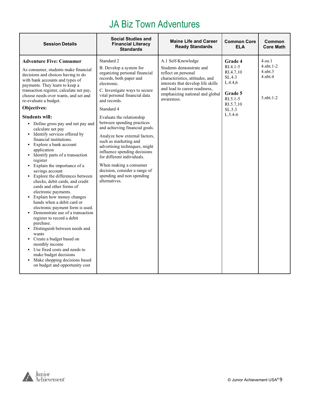# JA Biz Town Adventures

| <b>Session Details</b>                                                                                                                                                                                                                                                                                                                                                                                                                                                                                                                                                                                                                                                                                                                                                                                                                                                                                                                                                                                                                                                                                                                                       | <b>Social Studies and</b><br><b>Financial Literacy</b><br><b>Standards</b>                                                                                                                                                                                                                                                                                                                                                                                                                                                                                                      | <b>Maine Life and Career</b><br><b>Ready Standards</b>                                                                                                                                                                           | <b>Common Core</b><br><b>ELA</b>                                                                                     | Common<br><b>Core Math</b>                                                     |
|--------------------------------------------------------------------------------------------------------------------------------------------------------------------------------------------------------------------------------------------------------------------------------------------------------------------------------------------------------------------------------------------------------------------------------------------------------------------------------------------------------------------------------------------------------------------------------------------------------------------------------------------------------------------------------------------------------------------------------------------------------------------------------------------------------------------------------------------------------------------------------------------------------------------------------------------------------------------------------------------------------------------------------------------------------------------------------------------------------------------------------------------------------------|---------------------------------------------------------------------------------------------------------------------------------------------------------------------------------------------------------------------------------------------------------------------------------------------------------------------------------------------------------------------------------------------------------------------------------------------------------------------------------------------------------------------------------------------------------------------------------|----------------------------------------------------------------------------------------------------------------------------------------------------------------------------------------------------------------------------------|----------------------------------------------------------------------------------------------------------------------|--------------------------------------------------------------------------------|
| <b>Adventure Five: Consumer</b><br>As consumer, students make financial<br>decisions and choices having to do<br>with bank accounts and types of<br>payments. They learn to keep a<br>transaction register, calculate net pay,<br>choose needs over wants, and set and<br>re-evaluate a budget.<br>Objectives:<br><b>Students will:</b><br>• Define gross pay and net pay and<br>calculate net pay<br>• Identify services offered by<br>financial institutions.<br>• Explore a bank account<br>application<br>• Identify parts of a transaction<br>register<br>• Explain the importance of a<br>savings account<br>• Explore the differences between<br>checks, debit cards, and credit<br>cards and other forms of<br>electronic payments.<br>Explain how money changes<br>٠<br>hands when a debit card or<br>electronic payment form is used.<br>• Demonstrate use of a transaction<br>register to record a debit<br>purchase.<br>• Distinguish between needs and<br>wants<br>• Create a budget based on<br>monthly income<br>• Use fixed costs and needs to<br>make budget decisions<br>• Make shopping decisions based<br>on budget and opportunity cost | Standard 2<br>B. Develop a system for<br>organizing personal financial<br>records, both paper and<br>electronic.<br>C. Investigate ways to secure<br>vital personal financial data<br>and records.<br>Standard 4<br>Evaluate the relationship<br>between spending practices<br>and achieving financial goals.<br>Analyze how external factors,<br>such as marketing and<br>advertising techniques, might<br>influence spending decisions<br>for different individuals.<br>When making a consumer<br>decision, consider a range of<br>spending and non spending<br>alternatives. | A.1 Self-Knowledge<br>Students demonstrate and<br>reflect on personal<br>characteristics, attitudes, and<br>interests that develop life skills<br>and lead to career readiness,<br>emphasizing national and global<br>awareness. | Grade 4<br>$RI.4.1-5$<br>RI.4.7,10<br>SL.4.3<br>L.4.4,6<br>Grade 5<br>$R1.5.1-5$<br>RI.5.7,10<br>SL.5.3<br>$L.5.4-6$ | 4.0a.1<br>$4.$ nbt $.1-2$<br>$4.$ nbt $.3$<br>$4.$ nbt $.4$<br>$5.$ nbt. $1-2$ |

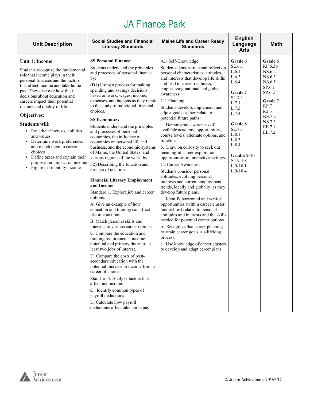| <b>Unit Description</b>                                                                                                                                                                                                                                                                                                                                                                                                                                                                                                                                                          | <b>Social Studies and Financial</b><br><b>Literacy Standards</b>                                                                                                                                                                                                                                                                                                                                                                                                                                                                                                                                                                                                                                                                                                                                                                                                                                                                                                                                                                                                                                                                                                                                                                                                                                                                                                              | <b>Maine Life and Career Ready</b><br><b>Standards</b>                                                                                                                                                                                                                                                                                                                                                                                                                                                                                                                                                                                                                                                                                                                                                                                                                                                                                                                                                                                                                                                                                                                     | <b>English</b><br>Language<br><b>Arts</b>                                                                                                                                                            | <b>Math</b>                                                                                                                                                |
|----------------------------------------------------------------------------------------------------------------------------------------------------------------------------------------------------------------------------------------------------------------------------------------------------------------------------------------------------------------------------------------------------------------------------------------------------------------------------------------------------------------------------------------------------------------------------------|-------------------------------------------------------------------------------------------------------------------------------------------------------------------------------------------------------------------------------------------------------------------------------------------------------------------------------------------------------------------------------------------------------------------------------------------------------------------------------------------------------------------------------------------------------------------------------------------------------------------------------------------------------------------------------------------------------------------------------------------------------------------------------------------------------------------------------------------------------------------------------------------------------------------------------------------------------------------------------------------------------------------------------------------------------------------------------------------------------------------------------------------------------------------------------------------------------------------------------------------------------------------------------------------------------------------------------------------------------------------------------|----------------------------------------------------------------------------------------------------------------------------------------------------------------------------------------------------------------------------------------------------------------------------------------------------------------------------------------------------------------------------------------------------------------------------------------------------------------------------------------------------------------------------------------------------------------------------------------------------------------------------------------------------------------------------------------------------------------------------------------------------------------------------------------------------------------------------------------------------------------------------------------------------------------------------------------------------------------------------------------------------------------------------------------------------------------------------------------------------------------------------------------------------------------------------|------------------------------------------------------------------------------------------------------------------------------------------------------------------------------------------------------|------------------------------------------------------------------------------------------------------------------------------------------------------------|
| <b>Unit 1: Income</b><br>Students recognize the fundamental<br>role that income plays in their<br>personal finances and the factors<br>that affect income and take-home<br>pay. They discover how their<br>decisions about education and<br>careers impact their potential<br>income and quality of life.<br>Objectives:<br><b>Students will:</b><br>• Rate their interests, abilities,<br>and values.<br>• Determine work preferences<br>and match them to career<br>choices<br>• Define taxes and explain their<br>purpose and impact on income<br>• Figure net monthly income | <b>SS Personal Finance:</b><br>Students understand the principles<br>and processes of personal finance<br>by:<br>(D1) Using a process for making<br>spending and savings decisions<br>based on work, wages, income,<br>expenses, and budgets as they relate<br>to the study of individual financial<br>choices.<br><b>SS Economics:</b><br>Students understand the principles<br>and processes of personal<br>economics, the influence of<br>economics on personal life and<br>business, and the economic systems<br>of Maine, the United States, and<br>various regions of the world by:<br>F2) Describing the function and<br>process of taxation.<br><b>Financial Literacy Employment</b><br>and Income<br>Standard 1. Explore job and career<br>options.<br>A. Give an example of how<br>education and training can affect<br>lifetime income.<br>B. Match personal skills and<br>interests to various career options.<br>C. Compare the education and<br>training requirements, income<br>potential and primary duties of at<br>least two jobs of interest.<br>D. Compare the costs of post-<br>secondary education with the<br>potential increase in income from a<br>career of choice.<br>Standard 3. Analyze factors that<br>affect net income.<br>C. Identify common types of<br>payroll deductions.<br>D. Calculate how payroll<br>deductions affect take home pay. | A.1 Self-Knowledge<br>Students demonstrate and reflect on<br>personal characteristics, attitudes,<br>and interests that develop life skills<br>and lead to career readiness,<br>emphasizing national and global<br>awareness.<br>C.1 Planning<br>Students develop, implement, and<br>adjust goals as they relate to<br>potential future paths.<br>a. Demonstrate awareness of<br>available academic opportunities,<br>course levels, alternate options, and<br>timelines.<br>b. Draw on curiosity to seek out<br>meaningful career exploration<br>opportunities in interactive settings.<br>C <sub>2</sub> Career Awareness<br>Students consider personal<br>aptitudes, evolving personal<br>interests and current employment<br>trends, locally and globally, as they<br>develop future plans.<br>a. Identify horizontal and vertical<br>opportunities (within career cluster<br>hierarchies) related to personal<br>aptitudes and interests and the skills<br>needed for potential career options.<br>b. Recognize that career planning<br>to attain career goals is a lifelong<br>process.<br>c. Use knowledge of career clusters<br>to develop and adapt career plans. | Grade 6<br>SL.6.1<br>L.6.1<br>L.6.3<br>L.6.4<br>Grade 7<br>SL.7.1<br>L.7.1<br>L.7.3<br>L.7.4<br>Grade 8<br>SL.8.1<br>L.8.1<br>L.8.3<br>L.8.4<br>Grades 9-10<br>SL.9-10.1<br>$L.9-10.1$<br>$L.9-10.4$ | Grade 6<br>RP.6.3 <sub>b</sub><br>NS.6.2<br>NS.6.3<br>NS.6.5<br>SP.6.1<br>SP.6.2<br><b>Grade</b> 7<br>RP.7<br>R2.b<br>NS.7.2<br>NS.7.3<br>EE.7.1<br>EE.7.2 |

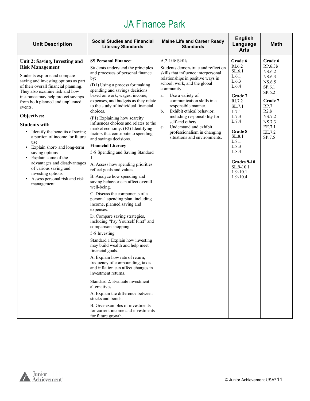| <b>Unit Description</b>                                                                                                                                                                                                                                                                                                                                                                                                                                                                                                                                                                                                       | <b>Social Studies and Financial</b><br><b>Literacy Standards</b>                                                                                                                                                                                                                                                                                                                                                                                                                                                                                                                                                                                                                                                                                                                                                                                                                                                                                                                                                                                                                                                                                                                                                                                                                                                                                                                                 | <b>Maine Life and Career Ready</b><br><b>Standards</b>                                                                                                                                                                                                                                                                                                                                                                                               | <b>English</b><br>Language<br><b>Arts</b>                                                                                                                                                                                | <b>Math</b>                                                                                                                                       |
|-------------------------------------------------------------------------------------------------------------------------------------------------------------------------------------------------------------------------------------------------------------------------------------------------------------------------------------------------------------------------------------------------------------------------------------------------------------------------------------------------------------------------------------------------------------------------------------------------------------------------------|--------------------------------------------------------------------------------------------------------------------------------------------------------------------------------------------------------------------------------------------------------------------------------------------------------------------------------------------------------------------------------------------------------------------------------------------------------------------------------------------------------------------------------------------------------------------------------------------------------------------------------------------------------------------------------------------------------------------------------------------------------------------------------------------------------------------------------------------------------------------------------------------------------------------------------------------------------------------------------------------------------------------------------------------------------------------------------------------------------------------------------------------------------------------------------------------------------------------------------------------------------------------------------------------------------------------------------------------------------------------------------------------------|------------------------------------------------------------------------------------------------------------------------------------------------------------------------------------------------------------------------------------------------------------------------------------------------------------------------------------------------------------------------------------------------------------------------------------------------------|--------------------------------------------------------------------------------------------------------------------------------------------------------------------------------------------------------------------------|---------------------------------------------------------------------------------------------------------------------------------------------------|
| Unit 2: Saving, Investing and<br><b>Risk Management</b><br>Students explore and compare<br>saving and investing options as part<br>of their overall financial planning.<br>They also examine risk and how<br>insurance may help protect savings<br>from both planned and unplanned<br>events.<br>Objectives:<br><b>Students will:</b><br>• Identify the benefits of saving<br>a portion of income for future<br>use<br>• Explain short- and long-term<br>saving options<br>• Explain some of the<br>advantages and disadvantages<br>of various saving and<br>investing options<br>Assess personal risk and risk<br>management | <b>SS Personal Finance:</b><br>Students understand the principles<br>and processes of personal finance<br>by:<br>(D1) Using a process for making<br>spending and savings decisions<br>based on work, wages, income,<br>expenses, and budgets as they relate<br>to the study of individual financial<br>choices.<br>(F1) Explaining how scarcity<br>influences choices and relates to the<br>market economy. (F2) Identifying<br>factors that contribute to spending<br>and savings decisions.<br><b>Financial Literacy</b><br>5-8 Spending and Saving Standard<br>A. Assess how spending priorities<br>reflect goals and values.<br>B. Analyze how spending and<br>saving behavior can affect overall<br>well-being.<br>C. Discuss the components of a<br>personal spending plan, including<br>income, planned saving and<br>expenses.<br>D. Compare saving strategies,<br>including "Pay Yourself First" and<br>comparison shopping.<br>5-8 Investing<br>Standard 1 Explain how investing<br>may build wealth and help meet<br>financial goals.<br>A. Explain how rate of return,<br>frequency of compounding, taxes<br>and inflation can affect changes in<br>investment returns.<br>Standard 2. Evaluate investment<br>alternatives.<br>A. Explain the difference between<br>stocks and bonds.<br>B. Give examples of investments<br>for current income and investments<br>for future growth. | A.2 Life Skills<br>Students demonstrate and reflect on<br>skills that influence interpersonal<br>relationships in positive ways in<br>school, work, and the global<br>community.<br>Use a variety of<br>a.<br>communication skills in a<br>responsible manner.<br>Exhibit ethical behavior,<br>b.<br>including responsibility for<br>self and others.<br>Understand and exhibit<br>c.<br>professionalism in changing<br>situations and environments. | Grade 6<br>RI.6.2<br>SL.6.1<br>L.6.1<br>L.6.3<br>L.6.4<br>Grade 7<br>RI.7.2<br>SL.7.1<br>L.7.1<br>L.7.3<br>L.7.4<br>Grade 8<br>SL.8.1<br>L.8.1<br>L.8.3<br>L.8.4<br>Grades 9-10<br>SL.9-10.1<br>$L.9-10.1$<br>$L.9-10.4$ | Grade 6<br>RP.6.3b<br>NS.6.2<br>NS.6.3<br>NS.6.5<br>SP.6.1<br>SP.6.2<br>Grade 7<br>RP.7<br>R2.b<br>NS.7.2<br>NS.7.3<br>EE.7.1<br>EE.7.2<br>SP.7.5 |

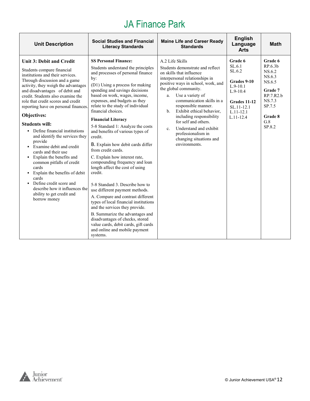| <b>Unit Description</b>                                                                                                                                                                                                                                                                                                                                                                                                                                                                                                                                                                                                                                                                                                                                 | <b>Social Studies and Financial</b><br><b>Literacy Standards</b>                                                                                                                                                                                                                                                                                                                                                                                                                                                                                                                                                                                                                                                                                                                                                                                                                                                                                             | <b>Maine Life and Career Ready</b><br><b>Standards</b>                                                                                                                                                                                                                                                                                                                                                                                                       | <b>English</b><br>Language<br><b>Arts</b>                                                                                              | <b>Math</b>                                                                                                                          |
|---------------------------------------------------------------------------------------------------------------------------------------------------------------------------------------------------------------------------------------------------------------------------------------------------------------------------------------------------------------------------------------------------------------------------------------------------------------------------------------------------------------------------------------------------------------------------------------------------------------------------------------------------------------------------------------------------------------------------------------------------------|--------------------------------------------------------------------------------------------------------------------------------------------------------------------------------------------------------------------------------------------------------------------------------------------------------------------------------------------------------------------------------------------------------------------------------------------------------------------------------------------------------------------------------------------------------------------------------------------------------------------------------------------------------------------------------------------------------------------------------------------------------------------------------------------------------------------------------------------------------------------------------------------------------------------------------------------------------------|--------------------------------------------------------------------------------------------------------------------------------------------------------------------------------------------------------------------------------------------------------------------------------------------------------------------------------------------------------------------------------------------------------------------------------------------------------------|----------------------------------------------------------------------------------------------------------------------------------------|--------------------------------------------------------------------------------------------------------------------------------------|
| <b>Unit 3: Debit and Credit</b><br>Students compare financial<br>institutions and their services.<br>Through discussion and a game<br>activity, they weigh the advantages<br>and disadvantages of debit and<br>credit. Students also examine the<br>role that credit scores and credit<br>reporting have on personal finances.<br>Objectives:<br><b>Students will:</b><br>• Define financial institutions<br>and identify the services they<br>provide<br>• Examine debit and credit<br>cards and their use<br>• Explain the benefits and<br>common pitfalls of credit<br>cards<br>• Explain the benefits of debit<br>cards<br>Define credit score and<br>$\blacksquare$<br>describe how it influences the<br>ability to get credit and<br>borrow money | <b>SS Personal Finance:</b><br>Students understand the principles<br>and processes of personal finance<br>by:<br>(D1) Using a process for making<br>spending and savings decisions<br>based on work, wages, income,<br>expenses, and budgets as they<br>relate to the study of individual<br>financial choices.<br><b>Financial Literacy</b><br>5-8 Standard 1: Analyze the costs<br>and benefits of various types of<br>credit.<br>B. Explain how debit cards differ<br>from credit cards.<br>C. Explain how interest rate,<br>compounding frequency and loan<br>length affect the cost of using<br>credit.<br>5-8 Standard 3. Describe how to<br>use different payment methods.<br>A. Compare and contrast different<br>types of local financial institutions<br>and the services they provide.<br>B. Summarize the advantages and<br>disadvantages of checks, stored<br>value cards, debit cards, gift cards<br>and online and mobile payment<br>systems. | A.2 Life Skills<br>Students demonstrate and reflect<br>on skills that influence<br>interpersonal relationships in<br>positive ways in school, work, and<br>the global community.<br>Use a variety of<br>a.<br>communication skills in a<br>responsible manner.<br>Exhibit ethical behavior.<br>$h_{-}$<br>including responsibility<br>for self and others.<br>Understand and exhibit<br>c.<br>professionalism in<br>changing situations and<br>environments. | Grade 6<br>SL.6.1<br>SL.6.2<br>Grades 9-10<br>$L.9-10.1$<br>$L.9-10.4$<br>Grades 11-12<br>SL.11-12.1<br>$L.11 - 12.1$<br>$L.11 - 12.4$ | Grade 6<br>RP.6.3 <sub>b</sub><br>NS.6.2<br>NS.6.3<br>NS.6.5<br>Grade 7<br>RP.7.R2.b<br>NS.7.3<br>SP.7.5<br>Grade 8<br>G.8<br>SP.8.2 |

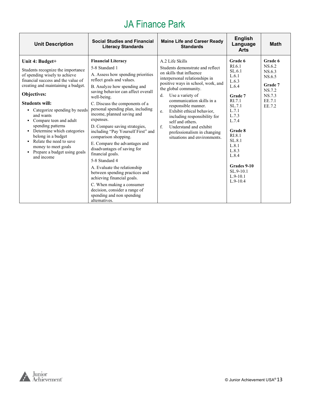| <b>Unit Description</b>                                                                                                                                                                                                                                                                                                                                                                                                                                                           | <b>Social Studies and Financial</b><br><b>Literacy Standards</b>                                                                                                                                                                                                                                                                                                                                                                                                                                                                                                                                                                                                                                                                     | <b>Maine Life and Career Ready</b><br><b>Standards</b>                                                                                                                                                                                                                                                                                                                                                                                                        | <b>English</b><br>Language<br><b>Arts</b>                                                                                                                                                                                            | <b>Math</b>                                                                              |
|-----------------------------------------------------------------------------------------------------------------------------------------------------------------------------------------------------------------------------------------------------------------------------------------------------------------------------------------------------------------------------------------------------------------------------------------------------------------------------------|--------------------------------------------------------------------------------------------------------------------------------------------------------------------------------------------------------------------------------------------------------------------------------------------------------------------------------------------------------------------------------------------------------------------------------------------------------------------------------------------------------------------------------------------------------------------------------------------------------------------------------------------------------------------------------------------------------------------------------------|---------------------------------------------------------------------------------------------------------------------------------------------------------------------------------------------------------------------------------------------------------------------------------------------------------------------------------------------------------------------------------------------------------------------------------------------------------------|--------------------------------------------------------------------------------------------------------------------------------------------------------------------------------------------------------------------------------------|------------------------------------------------------------------------------------------|
| Unit 4: Budget+<br>Students recognize the importance<br>of spending wisely to achieve<br>financial success and the value of<br>creating and maintaining a budget.<br>Objectives:<br><b>Students will:</b><br>• Categorize spending by needs<br>and wants<br>• Compare teen and adult<br>spending patterns<br>• Determine which categories<br>belong in a budget<br>Relate the need to save<br>$\blacksquare$<br>money to meet goals<br>Prepare a budget using goals<br>and income | <b>Financial Literacy</b><br>5-8 Standard 1<br>A. Assess how spending priorities<br>reflect goals and values.<br>B. Analyze how spending and<br>saving behavior can affect overall<br>well-being.<br>C. Discuss the components of a<br>personal spending plan, including<br>income, planned saving and<br>expenses.<br>D. Compare saving strategies,<br>including "Pay Yourself First" and<br>comparison shopping.<br>E. Compare the advantages and<br>disadvantages of saving for<br>financial goals.<br>5-8 Standard 4<br>A. Evaluate the relationship<br>between spending practices and<br>achieving financial goals.<br>C. When making a consumer<br>decision, consider a range of<br>spending and non spending<br>alternatives. | A.2 Life Skills<br>Students demonstrate and reflect<br>on skills that influence<br>interpersonal relationships in<br>positive ways in school, work, and<br>the global community.<br>Use a variety of<br>d.<br>communication skills in a<br>responsible manner.<br>Exhibit ethical behavior,<br>e.<br>including responsibility for<br>self and others.<br>$f_{\cdot}$<br>Understand and exhibit<br>professionalism in changing<br>situations and environments. | Grade 6<br>RI.6.1<br>SL.6.1<br>L.6.1<br>L.6.3<br>L.6.4<br>Grade 7<br>RI.7.1<br>SL.7.1<br>L.7.1<br>L.7.3<br>L.7.4<br>Grade 8<br>RI.8.1<br>SL.8.1<br>L.8.1<br>L.8.3<br>L.8.4<br>Grades 9-10<br>$SL.9-10.1$<br>$L.9-10.1$<br>$L.9-10.4$ | Grade 6<br>NS.6.2<br>NS.6.3<br>NS.6.5<br>Grade 7<br>NS.7.2<br>NS.7.3<br>EE.7.1<br>EE.7.2 |

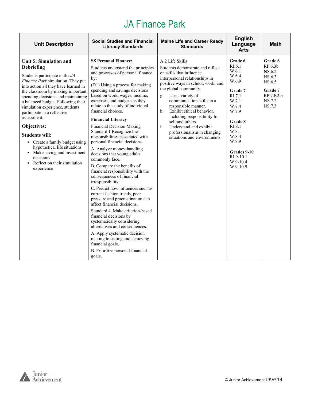| <b>Unit Description</b>                                                                                                                                                                                                                                                                                                                                                                                                                                                                                                                                     | <b>Social Studies and Financial</b><br><b>Literacy Standards</b>                                                                                                                                                                                                                                                                                                                                                                                                                                                                                                                                                                                                                                                                                                                                                                                                                                                                                                                                                                                                                                | <b>Maine Life and Career Ready</b><br><b>Standards</b>                                                                                                                                                                                                                                                                                                                                                                                                           | <b>English</b><br>Language<br><b>Arts</b>                                                                                                                                                            | <b>Math</b>                                                                                  |
|-------------------------------------------------------------------------------------------------------------------------------------------------------------------------------------------------------------------------------------------------------------------------------------------------------------------------------------------------------------------------------------------------------------------------------------------------------------------------------------------------------------------------------------------------------------|-------------------------------------------------------------------------------------------------------------------------------------------------------------------------------------------------------------------------------------------------------------------------------------------------------------------------------------------------------------------------------------------------------------------------------------------------------------------------------------------------------------------------------------------------------------------------------------------------------------------------------------------------------------------------------------------------------------------------------------------------------------------------------------------------------------------------------------------------------------------------------------------------------------------------------------------------------------------------------------------------------------------------------------------------------------------------------------------------|------------------------------------------------------------------------------------------------------------------------------------------------------------------------------------------------------------------------------------------------------------------------------------------------------------------------------------------------------------------------------------------------------------------------------------------------------------------|------------------------------------------------------------------------------------------------------------------------------------------------------------------------------------------------------|----------------------------------------------------------------------------------------------|
| Unit 5: Simulation and<br>Debriefing<br>Students participate in the JA<br>Finance Park simulation. They put<br>into action all they have learned in<br>the classroom by making important<br>spending decisions and maintaining<br>a balanced budget. Following their<br>simulation experience, students<br>participate in a reflective<br>assessment.<br>Objectives:<br><b>Students will:</b><br>• Create a family budget using<br>hypothetical life situations<br>• Make saving and investment<br>decisions<br>• Reflect on their simulation<br>experience | <b>SS Personal Finance:</b><br>Students understand the principles<br>and processes of personal finance<br>by:<br>(D1) Using a process for making<br>spending and savings decisions<br>based on work, wages, income,<br>expenses, and budgets as they<br>relate to the study of individual<br>financial choices.<br><b>Financial Literacy</b><br><b>Financial Decision Making</b><br>Standard 1 Recognize the<br>responsibilities associated with<br>personal financial decisions.<br>A. Analyze money-handling<br>decisions that young adults<br>commonly face.<br>B. Compare the benefits of<br>financial responsibility with the<br>consequences of financial<br>irresponsibility.<br>C. Predict how influences such as<br>current fashion trends, peer<br>pressure and procrastination can<br>affect financial decisions.<br>Standard 4. Make criterion-based<br>financial decisions by<br>systematically considering<br>alternatives and consequences.<br>A. Apply systematic decision<br>making to setting and achieving<br>financial goals.<br>B. Prioritize personal financial<br>goals. | A.2 Life Skills<br>Students demonstrate and reflect<br>on skills that influence<br>interpersonal relationships in<br>positive ways in school, work, and<br>the global community.<br>Use a variety of<br>g.<br>communication skills in a<br>responsible manner.<br>Exhibit ethical behavior,<br>h.<br>including responsibility for<br>self and others.<br>$\mathbf{i}$ .<br>Understand and exhibit<br>professionalism in changing<br>situations and environments. | Grade 6<br>RI.6.1<br>W.6.1<br>W.6.4<br>W.6.9<br>Grade 7<br>RI.7.1<br>W.7.1<br>W.7.4<br>W.7.9<br>Grade 8<br>RI.8.1<br>W.8.1<br>W.8.4<br>W.8.9<br>Grades 9-10<br>$RI.9-10.1$<br>$W.9-10.4$<br>W.9-10.9 | Grade 6<br>RP.6.3b<br>NS.6.2<br>NS.6.3<br>NS.6.5<br>Grade 7<br>RP.7.R2.b<br>NS.7.2<br>NS.7.3 |

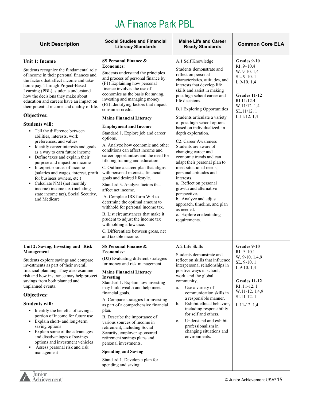| <b>Unit Description</b>                                                                                                                                                                                                                                                                                                                                                                                                                                                                                                                                                                                                                                                                                                                                                                                                                                                     | <b>Social Studies and Financial</b><br><b>Literacy Standards</b>                                                                                                                                                                                                                                                                                                                                                                                                                                                                                                                                                                                                                                                                                                                                                                                                                                                                                                                                                                                      | <b>Maine Life and Career</b><br><b>Ready Standards</b>                                                                                                                                                                                                                                                                                                                                                                                                                                                                                                                                                                                                                                                                                                                                           | <b>Common Core ELA</b>                                                                                                                                                                |
|-----------------------------------------------------------------------------------------------------------------------------------------------------------------------------------------------------------------------------------------------------------------------------------------------------------------------------------------------------------------------------------------------------------------------------------------------------------------------------------------------------------------------------------------------------------------------------------------------------------------------------------------------------------------------------------------------------------------------------------------------------------------------------------------------------------------------------------------------------------------------------|-------------------------------------------------------------------------------------------------------------------------------------------------------------------------------------------------------------------------------------------------------------------------------------------------------------------------------------------------------------------------------------------------------------------------------------------------------------------------------------------------------------------------------------------------------------------------------------------------------------------------------------------------------------------------------------------------------------------------------------------------------------------------------------------------------------------------------------------------------------------------------------------------------------------------------------------------------------------------------------------------------------------------------------------------------|--------------------------------------------------------------------------------------------------------------------------------------------------------------------------------------------------------------------------------------------------------------------------------------------------------------------------------------------------------------------------------------------------------------------------------------------------------------------------------------------------------------------------------------------------------------------------------------------------------------------------------------------------------------------------------------------------------------------------------------------------------------------------------------------------|---------------------------------------------------------------------------------------------------------------------------------------------------------------------------------------|
| Unit 1: Income<br>Students recognize the fundamental role<br>of income in their personal finances and<br>the factors that affect income and take-<br>home pay. Through Project-Based<br>Learning (PBL), students understand<br>how the decisions they make about<br>education and careers have an impact on<br>their potential income and quality of life.<br>Objectives:<br><b>Students will:</b><br>• Tell the difference between<br>abilities, interests, work<br>preferences, and values<br>• Identify career interests and goals<br>as a way to earn future income<br>• Define taxes and explain their<br>purpose and impact on income<br>• Interpret sources of income<br>(salaries and wages, interest, profit<br>for business owners, etc.)<br>• Calculate NMI (net monthly<br>income) income tax (including<br>state income tax), Social Security,<br>and Medicare | SS Personal Finance &<br><b>Economics:</b><br>Students understand the principles<br>and process of personal finance by:<br>(F1) Explaining how personal<br>finance involves the use of<br>economics as the basis for saving,<br>investing and managing money.<br>(F2) Identifying factors that impact<br>consumer credit.<br><b>Maine Financial Literacy</b><br><b>Employment and Income</b><br>Standard 1. Explore job and career<br>options.<br>A. Analyze how economic and other<br>conditions can affect income and<br>career opportunities and the need for<br>lifelong training and education.<br>C. Outline a career plan that aligns<br>with personal interests, financial<br>goals and desired lifestyle.<br>Standard 3. Analyze factors that<br>affect net income.<br>A. Complete IRS form W-4 to<br>determine the optimal amount to<br>withhold for personal income tax.<br>B. List circumstances that make it<br>prudent to adjust the income tax<br>withholding allowance.<br>C. Differentiate between gross, net<br>and taxable income. | A.1 Self Knowledge<br>Students demonstrate and<br>reflect on personal<br>characteristics, attitudes, and<br>interests that develop life<br>skills and assist in making<br>post high school career and<br>life decisions.<br><b>B.1 Exploring Opportunities</b><br>Students articulate a variety<br>of post high school options<br>based on individualized, in-<br>depth exploration.<br>C <sub>2</sub> . Career Awareness<br>Students are aware of<br>changing career and<br>economic trends and can<br>adapt their personal plan to<br>meet situational needs,<br>personal aptitudes and<br>interests.<br>a. Reflect on personal<br>growth and alternative<br>perspectives.<br>b. Analyze and adjust<br>approach, timeline, and plan<br>as needed.<br>c. Explore credentialing<br>requirements. | Grades 9-10<br>$RI.9 - 10.4$<br>W. 9-10. 1,4<br>SL. 9-10. 1<br>$L.9-10.1,4$<br>Grades 11-12<br>RI 11/12.4<br>W.11/12.1,4<br>SL.11/12.1<br>L.11/12.1,4                                 |
| Unit 2: Saving, Investing and Risk<br>Management<br>Students explore savings and compare<br>investments as part of their overall<br>financial planning. They also examine<br>risk and how insurance may help protect<br>savings from both planned and<br>unplanned events.<br>Objectives:<br><b>Students will:</b><br>• Identify the benefits of saving a<br>portion of income for future use<br>• Explain short- and long-term<br>saving options<br>• Explain some of the advantages<br>and disadvantages of savings<br>options and investment vehicles<br>Assess personal risk and risk<br>٠<br>management<br>Junior<br>Achievement°                                                                                                                                                                                                                                      | SS Personal Finance &<br><b>Economics:</b><br>(D2) Evaluating different strategies<br>for money and risk management.<br><b>Maine Financial Literacy</b><br>Investing<br>Standard 1. Explain how investing<br>may build wealth and help meet<br>financial goals.<br>A. Compare strategies for investing<br>as part of a comprehensive financial<br>plan.<br>B. Describe the importance of<br>various sources of income in<br>retirement, including Social<br>Security, employer-sponsored<br>retirement savings plans and<br>personal investments.<br><b>Spending and Saving</b><br>Standard 1. Develop a plan for<br>spending and saving.                                                                                                                                                                                                                                                                                                                                                                                                             | A.2 Life Skills<br>Students demonstrate and<br>reflect on skills that influence<br>interpersonal relationships in<br>positive ways in school,<br>work, and the global<br>community.<br>Use a variety of<br>a.<br>communication skills in<br>a responsible manner.<br>Exhibit ethical behavior,<br>b.<br>including responsibility<br>for self and others.<br>Understand and exhibit<br>c.<br>professionalism in<br>changing situations and<br>environments.                                                                                                                                                                                                                                                                                                                                       | Grades 9-10<br>RI .9-10.1<br>W. 9-10. 1,4,9<br>SL. 9-10.1<br>$L.9-10.1,4$<br>Grades 11-12<br>RI .11-12.1<br>W.11-12.1,4,9<br>SL11-12.1<br>L.11-12.1,4<br>© Junior Achievement USA® 15 |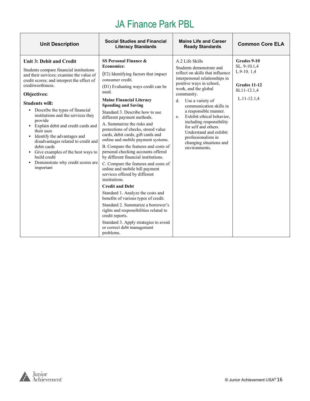| <b>Unit Description</b>                                                                                                                                                                                                                                                                                                                                                                                                                                                                                                                                                          | <b>Social Studies and Financial</b><br><b>Literacy Standards</b>                                                                                                                                                                                                                                                                                                                                                                                                                                                                                                                                                                                                                                                                                                                                                                                                                                                                                                                         | <b>Maine Life and Career</b><br><b>Ready Standards</b>                                                                                                                                                                                                                                                                                                                                                                                               | <b>Common Core ELA</b>                                                                        |
|----------------------------------------------------------------------------------------------------------------------------------------------------------------------------------------------------------------------------------------------------------------------------------------------------------------------------------------------------------------------------------------------------------------------------------------------------------------------------------------------------------------------------------------------------------------------------------|------------------------------------------------------------------------------------------------------------------------------------------------------------------------------------------------------------------------------------------------------------------------------------------------------------------------------------------------------------------------------------------------------------------------------------------------------------------------------------------------------------------------------------------------------------------------------------------------------------------------------------------------------------------------------------------------------------------------------------------------------------------------------------------------------------------------------------------------------------------------------------------------------------------------------------------------------------------------------------------|------------------------------------------------------------------------------------------------------------------------------------------------------------------------------------------------------------------------------------------------------------------------------------------------------------------------------------------------------------------------------------------------------------------------------------------------------|-----------------------------------------------------------------------------------------------|
| <b>Unit 3: Debit and Credit</b><br>Students compare financial institutions<br>and their services; examine the value of<br>credit scores; and interpret the effect of<br>creditworthiness.<br>Objectives:<br><b>Students will:</b><br>• Describe the types of financial<br>institutions and the services they<br>provide<br>• Explain debit and credit cards and<br>their uses<br>• Identify the advantages and<br>disadvantages related to credit and<br>debit cards<br>Give examples of the best ways to<br>build credit<br>Demonstrate why credit scores are<br>٠<br>important | SS Personal Finance &<br><b>Economics:</b><br>(F2) Identifying factors that impact<br>consumer credit.<br>(D1) Evaluating ways credit can be<br>used.<br><b>Maine Financial Literacy</b><br><b>Spending and Saving</b><br>Standard 3. Describe how to use<br>different payment methods.<br>A. Summarize the risks and<br>protections of checks, stored value<br>cards, debit cards, gift cards and<br>online and mobile payment systems.<br>B. Compare the features and costs of<br>personal checking accounts offered<br>by different financial institutions.<br>C. Compare the features and costs of<br>online and mobile bill payment<br>services offered by different<br>institutions.<br><b>Credit and Debt</b><br>Standard 1. Analyze the costs and<br>benefits of various types of credit.<br>Standard 2. Summarize a borrower's<br>rights and responsibilities related to<br>credit reports.<br>Standard 3. Apply strategies to avoid<br>or correct debt management<br>problems. | A.2 Life Skills<br>Students demonstrate and<br>reflect on skills that influence<br>interpersonal relationships in<br>positive ways in school,<br>work, and the global<br>community.<br>Use a variety of<br>d.<br>communication skills in<br>a responsible manner.<br>Exhibit ethical behavior.<br>e.<br>including responsibility<br>for self and others.<br>Understand and exhibit<br>professionalism in<br>changing situations and<br>environments. | Grades 9-10<br>SL. 9-10.1,4<br>$L.9-10.1,4$<br>Grades 11-12<br>SL11-12.1,4<br>$L.11 - 12.1,4$ |

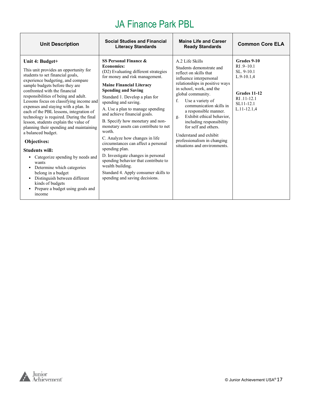| <b>Unit Description</b>                                                                                                                                                                                                                                                                                                                                                                                                                                                                                                                                                                                                                                                                                                                                                          | <b>Social Studies and Financial</b><br><b>Literacy Standards</b>                                                                                                                                                                                                                                                                                                                                                                                                                                                                                                                                                                                                                  | <b>Maine Life and Career</b><br><b>Ready Standards</b>                                                                                                                                                                                                                                                                                                                                                                                            | <b>Common Core ELA</b>                                                                                                    |
|----------------------------------------------------------------------------------------------------------------------------------------------------------------------------------------------------------------------------------------------------------------------------------------------------------------------------------------------------------------------------------------------------------------------------------------------------------------------------------------------------------------------------------------------------------------------------------------------------------------------------------------------------------------------------------------------------------------------------------------------------------------------------------|-----------------------------------------------------------------------------------------------------------------------------------------------------------------------------------------------------------------------------------------------------------------------------------------------------------------------------------------------------------------------------------------------------------------------------------------------------------------------------------------------------------------------------------------------------------------------------------------------------------------------------------------------------------------------------------|---------------------------------------------------------------------------------------------------------------------------------------------------------------------------------------------------------------------------------------------------------------------------------------------------------------------------------------------------------------------------------------------------------------------------------------------------|---------------------------------------------------------------------------------------------------------------------------|
| Unit 4: Budget+<br>This unit provides an opportunity for<br>students to set financial goals,<br>experience budgeting, and compare<br>sample budgets before they are<br>confronted with the financial<br>responsibilities of being and adult.<br>Lessons focus on classifying income and<br>expenses and staying with a plan. In<br>each of the PBL lessons, integration of<br>technology is required. During the final<br>lesson, students explain the value of<br>planning their spending and maintaining<br>a balanced budget.<br>Objectives:<br><b>Students will:</b><br>• Categorize spending by needs and<br>wants<br>• Determine which categories<br>belong in a budget<br>Distinguish between different<br>kinds of budgets<br>Prepare a budget using goals and<br>income | SS Personal Finance &<br><b>Economics:</b><br>(D2) Evaluating different strategies<br>for money and risk management.<br><b>Maine Financial Literacy</b><br><b>Spending and Saving</b><br>Standard 1. Develop a plan for<br>spending and saving.<br>A. Use a plan to manage spending<br>and achieve financial goals.<br>B. Specify how monetary and non-<br>monetary assets can contribute to net<br>worth.<br>C. Analyze how changes in life<br>circumstances can affect a personal<br>spending plan.<br>D. Investigate changes in personal<br>spending behavior that contribute to<br>wealth building.<br>Standard 4. Apply consumer skills to<br>spending and saving decisions. | A.2 Life Skills<br>Students demonstrate and<br>reflect on skills that<br>influence interpersonal<br>relationships in positive ways<br>in school, work, and the<br>global community.<br>f.<br>Use a variety of<br>communication skills in<br>a responsible manner.<br>Exhibit ethical behavior.<br>g.<br>including responsibility<br>for self and others.<br>Understand and exhibit<br>professionalism in changing<br>situations and environments. | Grades 9-10<br>$RI.9 - 10.1$<br>SL. 9-10.1<br>$L.9-10.1,4$<br>Grades 11-12<br>RI .11-12.1<br>SL11-12.1<br>$L.11 - 12.1,4$ |

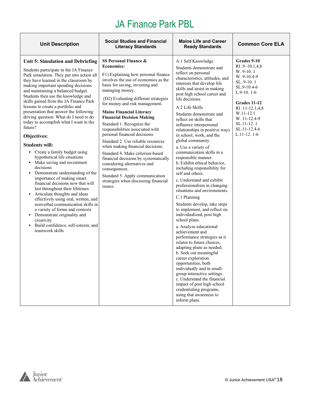| <b>Unit Description</b>                                                                                                                                                                                                                                                                                                                                                                                                                                                                                                                                                                                                                                                                                                                                                                                                                                                                                                                                                                                                                                                       | <b>Social Studies and Financial</b><br><b>Literacy Standards</b>                                                                                                                                                                                                                                                                                                                                                                                                                                                                                                                                                                                                                                                                 | <b>Maine Life and Career</b><br><b>Ready Standards</b>                                                                                                                                                                                                                                                                                                                                                                                                                                                                                                                                                                                                                                                                                                                                                                                                                                                                                                                                                                                                                                                                                                                                                                   | <b>Common Core ELA</b>                                                                                                                                                                                                |
|-------------------------------------------------------------------------------------------------------------------------------------------------------------------------------------------------------------------------------------------------------------------------------------------------------------------------------------------------------------------------------------------------------------------------------------------------------------------------------------------------------------------------------------------------------------------------------------------------------------------------------------------------------------------------------------------------------------------------------------------------------------------------------------------------------------------------------------------------------------------------------------------------------------------------------------------------------------------------------------------------------------------------------------------------------------------------------|----------------------------------------------------------------------------------------------------------------------------------------------------------------------------------------------------------------------------------------------------------------------------------------------------------------------------------------------------------------------------------------------------------------------------------------------------------------------------------------------------------------------------------------------------------------------------------------------------------------------------------------------------------------------------------------------------------------------------------|--------------------------------------------------------------------------------------------------------------------------------------------------------------------------------------------------------------------------------------------------------------------------------------------------------------------------------------------------------------------------------------------------------------------------------------------------------------------------------------------------------------------------------------------------------------------------------------------------------------------------------------------------------------------------------------------------------------------------------------------------------------------------------------------------------------------------------------------------------------------------------------------------------------------------------------------------------------------------------------------------------------------------------------------------------------------------------------------------------------------------------------------------------------------------------------------------------------------------|-----------------------------------------------------------------------------------------------------------------------------------------------------------------------------------------------------------------------|
| Unit 5: Simulation and Debriefing<br>Students participate in the JA Finance<br>Park simulation. They put into action all<br>they have learned in the classroom by<br>making important spending decisions<br>and maintaining a balanced budget.<br>Students then use the knowledge and<br>skills gained from the JA Finance Park<br>lessons to create a portfolio and<br>presentation that answer the following<br>driving question: What do I need to do<br>today to accomplish what I want in the<br>future?<br>Objectives:<br><b>Students will:</b><br>• Create a family budget using<br>hypothetical life situations<br>• Make saving and investment<br>decisions<br>• Demonstrate understanding of the<br>importance of making smart<br>financial decisions now that will<br>last throughout their lifetimes<br>• Articulate thoughts and ideas<br>effectively using oral, written, and<br>nonverbal communication skills in<br>a variety of forms and contexts<br>• Demonstrate originality and<br>creativity<br>• Build confidence, self-esteem, and<br>teamwork skills | SS Personal Finance &<br><b>Economics:</b><br>F1) Explaining how personal finance<br>involves the use of economics as the<br>basis for saving, investing and<br>managing money.<br>(D2) Evaluating different strategies<br>for money and risk management.<br><b>Maine Financial Literacy</b><br><b>Financial Decision Making</b><br>Standard 1. Recognize the<br>responsibilities associated with<br>personal financial decisions.<br>Standard 2. Use reliable resources<br>when making financial decisions.<br>Standard 4. Make criterion-based<br>financial decisions by systematically<br>considering alternatives and<br>consequences.<br>Standard 5. Apply communication<br>strategies when discussing financial<br>issues. | A.1 Self Knowledge<br>Students demonstrate and<br>reflect on personal<br>characteristics, attitudes, and<br>interests that develop life<br>skills and assist in making<br>post high school career and<br>life decisions.<br>A.2 Life Skills<br>Students demonstrate and<br>reflect on skills that<br>influence interpersonal<br>relationships in positive ways<br>in school, work, and the<br>global community.<br>a. Use a variety of<br>communication skills in a<br>responsible manner.<br>b. Exhibit ethical behavior,<br>including responsibility for<br>self and others.<br>c. Understand and exhibit<br>professionalism in changing<br>situations and environments.<br>C.1 Planning<br>Students develop, take steps<br>to implement, and reflect on<br>individualized, post high<br>school plans.<br>a. Analyze educational<br>achievement and<br>performance strategies as it<br>relates to future choices,<br>adapting plans as needed.<br>b. Seek out meaningful<br>career exploration<br>opportunities, both<br>individually and in small-<br>group interactive settings.<br>c. Understand the financial<br>impact of post high school<br>credentialing programs,<br>using that awareness to<br>inform plans. | Grades 9-10<br>RI .9-10.1,4,8<br>W. 9-10.1<br>W. 9-10.4-9<br>SL. 9-10.1<br>SL.9-10.4-6<br>$L.9-10.1-6$<br>Grades 11-12<br>RI .11-12.1,4,8<br>W.11-12.1<br>W. 11-12.4-9<br>SL.11-12.1<br>SL.11-12.4-6<br>$L.11-12.1-6$ |

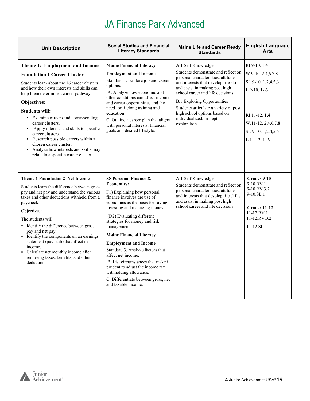| <b>Unit Description</b>                                                                                                                                                                                                                                                                                                                                                                                                                                                                                                          | <b>Social Studies and Financial</b><br><b>Literacy Standards</b>                                                                                                                                                                                                                                                                                                                                                                                                                                                                                            | <b>Maine Life and Career Ready</b><br><b>Standards</b>                                                                                                                                                                                                                                                                                                                        | <b>English Language</b><br><b>Arts</b>                                                                                                                |
|----------------------------------------------------------------------------------------------------------------------------------------------------------------------------------------------------------------------------------------------------------------------------------------------------------------------------------------------------------------------------------------------------------------------------------------------------------------------------------------------------------------------------------|-------------------------------------------------------------------------------------------------------------------------------------------------------------------------------------------------------------------------------------------------------------------------------------------------------------------------------------------------------------------------------------------------------------------------------------------------------------------------------------------------------------------------------------------------------------|-------------------------------------------------------------------------------------------------------------------------------------------------------------------------------------------------------------------------------------------------------------------------------------------------------------------------------------------------------------------------------|-------------------------------------------------------------------------------------------------------------------------------------------------------|
| Theme 1: Employment and Income<br><b>Foundation 1 Career Cluster</b><br>Students learn about the 16 career clusters<br>and how their own interests and skills can<br>help them determine a career pathway<br>Objectives:<br><b>Students will:</b><br>• Examine careers and corresponding<br>career clusters.<br>• Apply interests and skills to specific<br>career clusters.<br>• Research possible careers within a<br>chosen career cluster.<br>• Analyze how interests and skills may<br>relate to a specific career cluster. | <b>Maine Financial Literacy</b><br><b>Employment and Income</b><br>Standard 1. Explore job and career<br>options.<br>A. Analyze how economic and<br>other conditions can affect income<br>and career opportunities and the<br>need for lifelong training and<br>education.<br>C. Outline a career plan that aligns<br>with personal interests, financial<br>goals and desired lifestyle.                                                                                                                                                                    | A.1 Self Knowledge<br>Students demonstrate and reflect on<br>personal characteristics, attitudes,<br>and interests that develop life skills<br>and assist in making post high<br>school career and life decisions.<br><b>B.1 Exploring Opportunities</b><br>Students articulate a variety of post<br>high school options based on<br>individualized, in-depth<br>exploration. | RI.9-10.1.4<br>W.9-10.2,4,6,7,8<br>SL 9-10. 1,2,4,5,6<br>$L$ 9-10. 1-6<br>RI.11-12.1.4<br>$W.11-12.2,4,6,7,8$<br>SL 9-10. 1,2,4,5,6<br>$L$ 11-12, 1-6 |
| <b>Theme 1 Foundation 2 Net Income</b><br>Students learn the difference between gross<br>pay and net pay and understand the various<br>taxes and other deductions withheld from a<br>paycheck.<br>Objectives:<br>The students will:<br>• Identify the difference between gross<br>pay and net pay.<br>• Identify the components on an earnings<br>statement (pay stub) that affect net<br>income.<br>• Calculate net monthly income after<br>removing taxes, benefits, and other<br>deductions.                                  | SS Personal Finance &<br><b>Economics:</b><br>F1) Explaining how personal<br>finance involves the use of<br>economics as the basis for saving,<br>investing and managing money.<br>(D2) Evaluating different<br>strategies for money and risk<br>management.<br><b>Maine Financial Literacy</b><br><b>Employment and Income</b><br>Standard 3. Analyze factors that<br>affect net income.<br>B. List circumstances that make it<br>prudent to adjust the income tax<br>withholding allowance.<br>C. Differentiate between gross, net<br>and taxable income. | A.1 Self Knowledge<br>Students demonstrate and reflect on<br>personal characteristics, attitudes,<br>and interests that develop life skills<br>and assist in making post high<br>school career and life decisions.                                                                                                                                                            | Grades 9-10<br>9-10.RV.1<br>9-10.RV.3.2<br>9-10.SL.1<br>Grades 11-12<br>$11 - 12 RV.1$<br>$11 - 12 RV.3.2$<br>$11 - 12$ .SL.1                         |



Г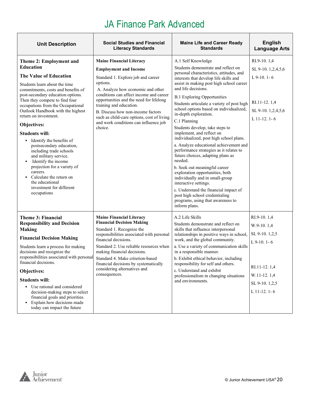| <b>Unit Description</b>                                                                                                                                                                                                                                                                                                                                                                                                                                                                                                                                                                                                                      | <b>Social Studies and Financial</b><br><b>Literacy Standards</b>                                                                                                                                                                                                                                                                                                                                               | <b>Maine Life and Career Ready</b><br><b>Standards</b>                                                                                                                                                                                                                                                                                                                                                                                                                                                                                                                                                                                                                                                                                                                                                                                                                                                      | <b>English</b><br><b>Language Arts</b>                                                                                          |
|----------------------------------------------------------------------------------------------------------------------------------------------------------------------------------------------------------------------------------------------------------------------------------------------------------------------------------------------------------------------------------------------------------------------------------------------------------------------------------------------------------------------------------------------------------------------------------------------------------------------------------------------|----------------------------------------------------------------------------------------------------------------------------------------------------------------------------------------------------------------------------------------------------------------------------------------------------------------------------------------------------------------------------------------------------------------|-------------------------------------------------------------------------------------------------------------------------------------------------------------------------------------------------------------------------------------------------------------------------------------------------------------------------------------------------------------------------------------------------------------------------------------------------------------------------------------------------------------------------------------------------------------------------------------------------------------------------------------------------------------------------------------------------------------------------------------------------------------------------------------------------------------------------------------------------------------------------------------------------------------|---------------------------------------------------------------------------------------------------------------------------------|
| Theme 2: Employment and<br><b>Education</b><br>The Value of Education<br>Students learn about the time<br>commitments, costs and benefits of<br>post-secondary education options.<br>Then they compete to find four<br>occupations from the Occupational<br>Outlook Handbook with the highest<br>return on investment.<br>Objectives:<br><b>Students will:</b><br>• Identify the benefits of<br>postsecondary education,<br>including trade schools<br>and military service.<br>Identify the income<br>٠<br>projection for a variety of<br>careers.<br>Calculate the return on<br>the educational<br>investment for different<br>occupations | <b>Maine Financial Literacy</b><br><b>Employment and Income</b><br>Standard 1. Explore job and career<br>options.<br>A. Analyze how economic and other<br>conditions can affect income and career<br>opportunities and the need for lifelong<br>training and education.<br>B. Discuss how non-income factors<br>such as child-care options, cost of living<br>and work conditions can influence job<br>choice. | A.1 Self Knowledge<br>Students demonstrate and reflect on<br>personal characteristics, attitudes, and<br>interests that develop life skills and<br>assist in making post high school career<br>and life decisions.<br><b>B.1 Exploring Opportunities</b><br>Students articulate a variety of post high<br>school options based on individualized,<br>in-depth exploration.<br>C.1 Planning<br>Students develop, take steps to<br>implement, and reflect on<br>individualized, post high school plans.<br>a. Analyze educational achievement and<br>performance strategies as it relates to<br>future choices, adapting plans as<br>needed.<br>b. Seek out meaningful career<br>exploration opportunities, both<br>individually and in small-group<br>interactive settings.<br>c. Understand the financial impact of<br>post high school credentialing<br>programs, using that awareness to<br>inform plans. | RI.9-10.1,4<br>SL 9-10. 1,2,4,5,6<br>$L$ 9-10. 1-6<br>RI.11-12.1,4<br>SL 9-10. 1,2,4,5,6<br>L $11-12$ , $1-6$                   |
| Theme 3: Financial<br><b>Responsibility and Decision</b><br><b>Making</b><br><b>Financial Decision Making</b><br>Students learn a process for making<br>decisions and recognize the<br>responsibilities associated with personal<br>financial decisions.<br>Objectives:<br><b>Students will:</b><br>• Use rational and considered<br>decision-making steps to select<br>financial goals and priorities.<br>• Explain how decisions made<br>today can impact the future                                                                                                                                                                       | <b>Maine Financial Literacy</b><br><b>Financial Decision Making</b><br>Standard 1. Recognize the<br>responsibilities associated with personal<br>financial decisions.<br>Standard 2. Use reliable resources when<br>making financial decisions.<br>Standard 4. Make criterion-based<br>financial decisions by systematically<br>considering alternatives and<br>consequences.                                  | A.2 Life Skills<br>Students demonstrate and reflect on<br>skills that influence interpersonal<br>relationships in positive ways in school,<br>work, and the global community.<br>a. Use a variety of communication skills<br>in a responsible manner.<br>b. Exhibit ethical behavior, including<br>responsibility for self and others.<br>c. Understand and exhibit<br>professionalism in changing situations<br>and environments.                                                                                                                                                                                                                                                                                                                                                                                                                                                                          | RI.9-10.1,4<br>W.9-10.1,4<br>SL 9-10. 1,2,5<br>$L$ 9-10. 1-6<br>RI.11-12.1,4<br>W.11-12.1,4<br>SL 9-10. 1,2,5<br>$L$ 11-12. 1-6 |

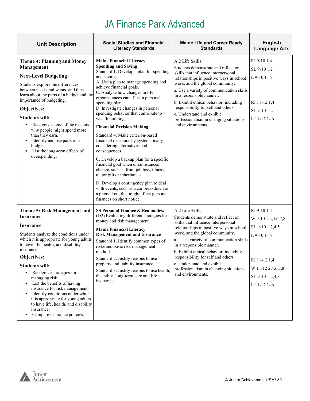| <b>Unit Description</b>                                                                                                                                                                                                                                                                                                                                                                                                                                                                                                                               | <b>Social Studies and Financial</b><br><b>Literacy Standards</b>                                                                                                                                                                                                                                                                                                                                                                                                                                                                                                                                                                                                                                                                                                                                                                                                                 | <b>Maine Life and Career Ready</b><br><b>Standards</b>                                                                                                                                                                                                                                                                                                                                                                             | <b>English</b><br><b>Language Arts</b>                                                                                                        |
|-------------------------------------------------------------------------------------------------------------------------------------------------------------------------------------------------------------------------------------------------------------------------------------------------------------------------------------------------------------------------------------------------------------------------------------------------------------------------------------------------------------------------------------------------------|----------------------------------------------------------------------------------------------------------------------------------------------------------------------------------------------------------------------------------------------------------------------------------------------------------------------------------------------------------------------------------------------------------------------------------------------------------------------------------------------------------------------------------------------------------------------------------------------------------------------------------------------------------------------------------------------------------------------------------------------------------------------------------------------------------------------------------------------------------------------------------|------------------------------------------------------------------------------------------------------------------------------------------------------------------------------------------------------------------------------------------------------------------------------------------------------------------------------------------------------------------------------------------------------------------------------------|-----------------------------------------------------------------------------------------------------------------------------------------------|
| Theme 4: Planning and Money<br>Management<br><b>Next-Level Budgeting</b><br>Students explore the differences<br>between needs and wants, and then<br>learn about the parts of a budget and the<br>importance of budgeting.<br>Objectives:<br><b>Students will:</b><br>• Recognize some of the reasons<br>why people might spend more<br>than they earn.<br>Identify and use parts of a<br>٠<br>budget.<br>• List the long-term effects of<br>overspending.                                                                                            | <b>Maine Financial Literacy</b><br><b>Spending and Saving</b><br>Standard 1. Develop a plan for spending<br>and saving.<br>A. Use a plan to manage spending and<br>achieve financial goals.<br>C. Analyze how changes in life<br>circumstances can affect a personal<br>spending plan.<br>D. Investigate changes in personal<br>spending behavior that contribute to<br>wealth building.<br><b>Financial Decision Making</b><br>Standard 4: Make criterion-based<br>financial decisions by systematically<br>considering alternatives and<br>consequences.<br>C. Develop a backup plan for a specific<br>financial goal when circumstances<br>change, such as from job loss, illness,<br>major gift or inheritance.<br>D. Develop a contingency plan to deal<br>with events, such as a car breakdown or<br>a phone loss, that might affect personal<br>finances on short notice. | A.2 Life Skills<br>Students demonstrate and reflect on<br>skills that influence interpersonal<br>relationships in positive ways in school,<br>work, and the global community.<br>a. Use a variety of communication skills<br>in a responsible manner.<br>b. Exhibit ethical behavior, including<br>responsibility for self and others.<br>c. Understand and exhibit<br>professionalism in changing situations<br>and environments. | RI.9-10 1,4<br>SL 9-10 1,2<br>$L$ 9-10 1-6<br>RI.11-12 1,4<br>SL 9-10 1,2<br>$L$ 11-12 1-6                                                    |
| <b>Theme 5: Risk Management and</b><br><b>Insurance</b><br>Insurance<br>Students analyze the conditions under<br>which it is appropriate for young adults<br>to have life, health, and disability<br>insurance.<br>Objectives:<br><b>Students will:</b><br>• Recognize strategies for<br>managing risk.<br>List the benefits of having<br>٠<br>insurance for risk management.<br>Identify conditions under which<br>٠<br>it is appropriate for young adults<br>to have life, health, and disability<br>insurance.<br>Compare insurance policies.<br>٠ | <b>SS Personal Finance &amp; Economics:</b><br>(D2) Evaluating different strategies for<br>money and risk management.<br><b>Maine Financial Literacy</b><br><b>Risk Management and Insurance</b><br>Standard 1. Identify common types of<br>risks and basic risk management<br>methods.<br>Standard 2. Justify reasons to use<br>property and liability insurance.<br>Standard 3. Justify reasons to use health,<br>disability, long-term care and life<br>insurance.                                                                                                                                                                                                                                                                                                                                                                                                            | A.2 Life Skills<br>Students demonstrate and reflect on<br>skills that influence interpersonal<br>relationships in positive ways in school,<br>work, and the global community.<br>a. Use a variety of communication skills<br>in a responsible manner.<br>b. Exhibit ethical behavior, including<br>responsibility for self and others.<br>c. Understand and exhibit<br>professionalism in changing situations<br>and environments. | RI.9-10 1,4<br>W.9-10 1,2,4,6,7,8<br>SL 9-10 1,2,4,5<br>$L$ 9-10 1-6<br>RI.11-12 1.4<br>W.11-12 2,4,6,7,8<br>SL 9-10 1,2,4,5<br>$L$ 11-12 1-6 |

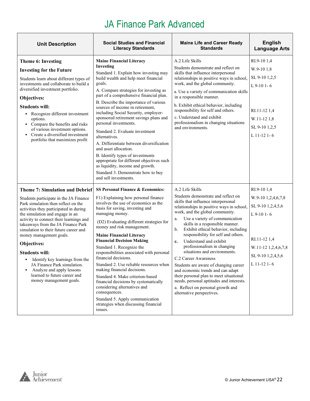| <b>Unit Description</b>                                                                                                                                                                                                                                                                                                                                                                                                                                                                                                                                               | <b>Social Studies and Financial</b><br><b>Literacy Standards</b>                                                                                                                                                                                                                                                                                                                                                                                                                                                                                                                                                                                                                                                                  | <b>Maine Life and Career Ready</b><br><b>Standards</b>                                                                                                                                                                                                                                                                                                                                                                                                                                                                                                                                                                                                                                                              | <b>English</b><br><b>Language Arts</b>                                                                                                             |
|-----------------------------------------------------------------------------------------------------------------------------------------------------------------------------------------------------------------------------------------------------------------------------------------------------------------------------------------------------------------------------------------------------------------------------------------------------------------------------------------------------------------------------------------------------------------------|-----------------------------------------------------------------------------------------------------------------------------------------------------------------------------------------------------------------------------------------------------------------------------------------------------------------------------------------------------------------------------------------------------------------------------------------------------------------------------------------------------------------------------------------------------------------------------------------------------------------------------------------------------------------------------------------------------------------------------------|---------------------------------------------------------------------------------------------------------------------------------------------------------------------------------------------------------------------------------------------------------------------------------------------------------------------------------------------------------------------------------------------------------------------------------------------------------------------------------------------------------------------------------------------------------------------------------------------------------------------------------------------------------------------------------------------------------------------|----------------------------------------------------------------------------------------------------------------------------------------------------|
| Theme 6: Investing<br><b>Investing for the Future</b><br>Students learn about different types of<br>investments and collaborate to build a<br>diversified investment portfolio.<br>Objectives:<br><b>Students will:</b><br>• Recognize different investment<br>options.<br>• Compare the benefits and risks<br>of various investment options.<br>• Create a diversified investment<br>portfolio that maximizes profit                                                                                                                                                 | <b>Maine Financial Literacy</b><br>Investing<br>Standard 1. Explain how investing may<br>build wealth and help meet financial<br>goals.<br>A. Compare strategies for investing as<br>part of a comprehensive financial plan.<br>B. Describe the importance of various<br>sources of income in retirement,<br>including Social Security, employer-<br>sponsored retirement savings plans and<br>personal investments.<br>Standard 2. Evaluate investment<br>alternatives.<br>A. Differentiate between diversification<br>and asset allocation.<br>B. Identify types of investments<br>appropriate for different objectives such<br>as liquidity, income and growth.<br>Standard 3. Demonstrate how to buy<br>and sell investments. | A.2 Life Skills<br>Students demonstrate and reflect on<br>skills that influence interpersonal<br>relationships in positive ways in school,<br>work, and the global community.<br>a. Use a variety of communication skills<br>in a responsible manner.<br>b. Exhibit ethical behavior, including<br>responsibility for self and others.<br>c. Understand and exhibit<br>professionalism in changing situations<br>and environments.                                                                                                                                                                                                                                                                                  | RI.9-10 1,4<br>W.9-10 1.8<br>SL 9-10 1,2,5<br>$L$ 9-10 1-6<br>RI.11-12 1,4<br>W.11-12 1,8<br>SL 9-10 1,2,5<br>$L$ 11-12 1-6                        |
| <b>Theme 7: Simulation and Debrief</b><br>Students participate in the JA Finance<br>Park simulation then reflect on the<br>activities they participated in during<br>the simulation and engage in an<br>activity to connect their learnings and<br>takeaways from the JA Finance Park<br>simulation to their future career and<br>money management goals.<br>Objectives:<br><b>Students will:</b><br>Identify key learnings from the<br>٠<br>JA Finance Park simulation.<br>Analyze and apply lessons<br>٠<br>learned to future career and<br>money management goals. | <b>SS Personal Finance &amp; Economics:</b><br>F1) Explaining how personal finance<br>involves the use of economics as the<br>basis for saving, investing and<br>managing money.<br>(D2) Evaluating different strategies for<br>money and risk management.<br><b>Maine Financial Literacy</b><br><b>Financial Decision Making</b><br>Standard 1. Recognize the<br>responsibilities associated with personal<br>financial decisions.<br>Standard 2. Use reliable resources when<br>making financial decisions.<br>Standard 4. Make criterion-based<br>financial decisions by systematically<br>considering alternatives and<br>consequences.<br>Standard 5. Apply communication<br>strategies when discussing financial<br>issues. | A.2 Life Skills<br>Students demonstrate and reflect on<br>skills that influence interpersonal<br>relationships in positive ways in school,<br>work, and the global community.<br>Use a variety of communication<br>a.<br>skills in a responsible manner.<br>Exhibit ethical behavior, including<br>b.<br>responsibility for self and others.<br>Understand and exhibit<br>$c_{\cdot}$<br>professionalism in changing<br>situations and environments.<br>C.2 Career Awareness<br>Students are aware of changing career<br>and economic trends and can adapt<br>their personal plan to meet situational<br>needs, personal aptitudes and interests.<br>a. Reflect on personal growth and<br>alternative perspectives. | RI.9-101,4<br>W.9-10 1,2,4,6,7,8<br>SL 9-10 1,2,4,5,6<br>$L$ 9-10 1-6<br>RI.11-12 1,4<br>W.11-12 1,2,4,6,7,8<br>SL 9-10 1,2,4,5,6<br>$L$ 11-12 1-6 |

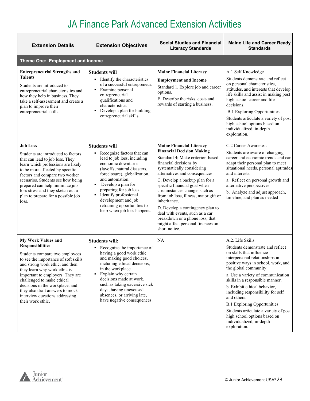| <b>Extension Details</b>                                                                                                                                                                                                                                                                                                                                                                  | <b>Extension Objectives</b>                                                                                                                                                                                                                                                                                                                                              | <b>Social Studies and Financial</b><br><b>Literacy Standards</b>                                                                                                                                                                                                                                                                                                                                                                                                                                                              | <b>Maine Life and Career Ready</b><br><b>Standards</b>                                                                                                                                                                                                                                                                                                                                                                                                                                                   |  |  |  |
|-------------------------------------------------------------------------------------------------------------------------------------------------------------------------------------------------------------------------------------------------------------------------------------------------------------------------------------------------------------------------------------------|--------------------------------------------------------------------------------------------------------------------------------------------------------------------------------------------------------------------------------------------------------------------------------------------------------------------------------------------------------------------------|-------------------------------------------------------------------------------------------------------------------------------------------------------------------------------------------------------------------------------------------------------------------------------------------------------------------------------------------------------------------------------------------------------------------------------------------------------------------------------------------------------------------------------|----------------------------------------------------------------------------------------------------------------------------------------------------------------------------------------------------------------------------------------------------------------------------------------------------------------------------------------------------------------------------------------------------------------------------------------------------------------------------------------------------------|--|--|--|
| Theme One: Employment and Income                                                                                                                                                                                                                                                                                                                                                          |                                                                                                                                                                                                                                                                                                                                                                          |                                                                                                                                                                                                                                                                                                                                                                                                                                                                                                                               |                                                                                                                                                                                                                                                                                                                                                                                                                                                                                                          |  |  |  |
| <b>Entrepreneurial Strengths and</b><br><b>Talents</b><br>Students are introduced to<br>entrepreneurial characteristics and<br>how they help in business. They<br>take a self-assessment and create a<br>plan to improve their<br>entrepreneurial skills.                                                                                                                                 | <b>Students will</b><br>• Identify the characteristics<br>of a successful entrepreneur.<br>Examine personal<br>٠<br>entrepreneurial<br>qualifications and<br>characteristics.<br>Develop a plan for building<br>٠<br>entrepreneurial skills.                                                                                                                             | <b>Maine Financial Literacy</b><br><b>Employment and Income</b><br>Standard 1. Explore job and career<br>options.<br>E. Describe the risks, costs and<br>rewards of starting a business.                                                                                                                                                                                                                                                                                                                                      | A.1 Self Knowledge<br>Students demonstrate and reflect<br>on personal characteristics,<br>attitudes, and interests that develop<br>life skills and assist in making post<br>high school career and life<br>decisions.<br><b>B.1 Exploring Opportunities</b><br>Students articulate a variety of post<br>high school options based on<br>individualized, in-depth<br>exploration.                                                                                                                         |  |  |  |
| <b>Job Loss</b><br>Students are introduced to factors<br>that can lead to job loss. They<br>learn which professions are likely<br>to be more affected by specific<br>factors and compare two worker<br>scenarios. Students see how being<br>prepared can help minimize job<br>loss stress and they sketch out a<br>plan to prepare for a possible job<br>loss.                            | <b>Students will</b><br>Recognize factors that can<br>٠<br>lead to job loss, including<br>economic downturns<br>(layoffs, natural disasters,<br>foreclosure), globalization,<br>and automation.<br>Develop a plan for<br>٠<br>preparing for job loss.<br>Identify professional<br>٠<br>development and job<br>retraining opportunities to<br>help when job loss happens. | <b>Maine Financial Literacy</b><br><b>Financial Decision Making</b><br>Standard 4; Make criterion-based<br>financial decisions by<br>systematically considering<br>alternatives and consequences.<br>C. Develop a backup plan for a<br>specific financial goal when<br>circumstances change, such as<br>from job loss, illness, major gift or<br>inheritance.<br>D. Develop a contingency plan to<br>deal with events, such as a car<br>breakdown or a phone loss, that<br>might affect personal finances on<br>short notice. | C.2 Career Awareness<br>Students are aware of changing<br>career and economic trends and can<br>adapt their personal plan to meet<br>situational needs, personal aptitudes<br>and interests.<br>a. Reflect on personal growth and<br>alternative perspectives.<br>b. Analyze and adjust approach,<br>timeline, and plan as needed                                                                                                                                                                        |  |  |  |
| My Work Values and<br><b>Responsibilities</b><br>Students compare two employees<br>to see the importance of soft skills<br>and strong work ethic, and then<br>they learn why work ethic is<br>important to employers. They are<br>challenged to make ethical<br>decisions in the workplace, and<br>they also draft answers to mock<br>interview questions addressing<br>their work ethic. | <b>Students will:</b><br>• Recognize the importance of<br>having a good work ethic<br>and making good choices,<br>including ethical decisions,<br>in the workplace.<br>Explain why certain<br>decisions made at work,<br>such as taking excessive sick<br>days, having unexcused<br>absences, or arriving late,<br>have negative consequences.                           | NA                                                                                                                                                                                                                                                                                                                                                                                                                                                                                                                            | A.2. Life Skills<br>Students demonstrate and reflect<br>on skills that influence<br>interpersonal relationships in<br>positive ways in school, work, and<br>the global community.<br>a. Use a variety of communication<br>skills in a responsible manner.<br>b. Exhibit ethical behavior,<br>including responsibility for self<br>and others.<br><b>B.1 Exploring Opportunities</b><br>Students articulate a variety of post<br>high school options based on<br>individualized, in-depth<br>exploration. |  |  |  |

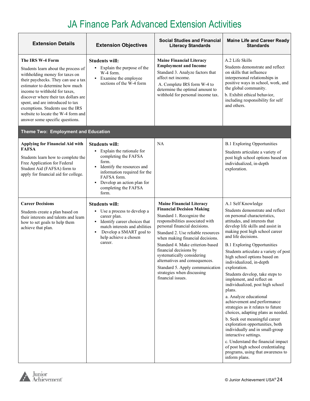| <b>Extension Details</b>                                                                                                                                                                                                                                                                                                                                                                      | <b>Extension Objectives</b>                                                                                                                                                                                                                         | <b>Social Studies and Financial</b><br><b>Literacy Standards</b>                                                                                                                                                                                                                                                                                                                                                                                                    | <b>Maine Life and Career Ready</b><br><b>Standards</b>                                                                                                                                                                                                                                                                                                                                                                                                                                                                                                                                                                                                                                                                                                                                                                                                                                               |
|-----------------------------------------------------------------------------------------------------------------------------------------------------------------------------------------------------------------------------------------------------------------------------------------------------------------------------------------------------------------------------------------------|-----------------------------------------------------------------------------------------------------------------------------------------------------------------------------------------------------------------------------------------------------|---------------------------------------------------------------------------------------------------------------------------------------------------------------------------------------------------------------------------------------------------------------------------------------------------------------------------------------------------------------------------------------------------------------------------------------------------------------------|------------------------------------------------------------------------------------------------------------------------------------------------------------------------------------------------------------------------------------------------------------------------------------------------------------------------------------------------------------------------------------------------------------------------------------------------------------------------------------------------------------------------------------------------------------------------------------------------------------------------------------------------------------------------------------------------------------------------------------------------------------------------------------------------------------------------------------------------------------------------------------------------------|
| The IRS W-4 Form<br>Students learn about the process of<br>withholding money for taxes on<br>their paychecks. They can use a tax<br>estimator to determine how much<br>income to withhold for taxes,<br>discover where their tax dollars are<br>spent, and are introduced to tax<br>exemptions. Students use the IRS<br>website to locate the W-4 form and<br>answer some specific questions. | <b>Students will:</b><br>• Explain the purpose of the<br>W-4 form.<br>• Examine the employee<br>sections of the W-4 form                                                                                                                            | <b>Maine Financial Literacy</b><br><b>Employment and Income</b><br>Standard 3. Analyze factors that<br>affect net income.<br>A. Complete IRS form W-4 to<br>determine the optimal amount to<br>withhold for personal income tax.                                                                                                                                                                                                                                    | A.2 Life Skills<br>Students demonstrate and reflect<br>on skills that influence<br>interpersonal relationships in<br>positive ways in school, work, and<br>the global community.<br>b. Exhibit ethical behavior,<br>including responsibility for self<br>and others.                                                                                                                                                                                                                                                                                                                                                                                                                                                                                                                                                                                                                                 |
| Theme Two: Employment and Education                                                                                                                                                                                                                                                                                                                                                           |                                                                                                                                                                                                                                                     |                                                                                                                                                                                                                                                                                                                                                                                                                                                                     |                                                                                                                                                                                                                                                                                                                                                                                                                                                                                                                                                                                                                                                                                                                                                                                                                                                                                                      |
| <b>Applying for Financial Aid with</b><br><b>FAFSA</b><br>Students learn how to complete the<br>Free Application for Federal<br>Student Aid (FAFSA) form to<br>apply for financial aid for college.                                                                                                                                                                                           | <b>Students will:</b><br>• Explain the rationale for<br>completing the FAFSA<br>form.<br>Identify the resources and<br>information required for the<br>FAFSA form.<br>Develop an action plan for<br>$\blacksquare$<br>completing the FAFSA<br>form. | <b>NA</b>                                                                                                                                                                                                                                                                                                                                                                                                                                                           | <b>B.1 Exploring Opportunities</b><br>Students articulate a variety of<br>post high school options based on<br>individualized, in-depth<br>exploration.                                                                                                                                                                                                                                                                                                                                                                                                                                                                                                                                                                                                                                                                                                                                              |
| <b>Career Decisions</b><br>Students create a plan based on<br>their interests and talents and learn<br>how to set goals to help them<br>achieve that plan.                                                                                                                                                                                                                                    | <b>Students will:</b><br>• Use a process to develop a<br>career plan.<br>• Identify career choices that<br>match interests and abilities<br>Develop a SMART goal to<br>$\blacksquare$<br>help achieve a chosen<br>career.                           | <b>Maine Financial Literacy</b><br><b>Financial Decision Making</b><br>Standard 1. Recognize the<br>responsibilities associated with<br>personal financial decisions.<br>Standard 2. Use reliable resources<br>when making financial decisions.<br>Standard 4. Make criterion-based<br>financial decisions by<br>systematically considering<br>alternatives and consequences.<br>Standard 5. Apply communication<br>strategies when discussing<br>financial issues. | A.1 Self Knowledge<br>Students demonstrate and reflect<br>on personal characteristics,<br>attitudes, and interests that<br>develop life skills and assist in<br>making post high school career<br>and life decisions.<br><b>B.1 Exploring Opportunities</b><br>Students articulate a variety of post<br>high school options based on<br>individualized, in-depth<br>exploration.<br>Students develop, take steps to<br>implement, and reflect on<br>individualized, post high school<br>plans.<br>a. Analyze educational<br>achievement and performance<br>strategies as it relates to future<br>choices, adapting plans as needed.<br>b. Seek out meaningful career<br>exploration opportunities, both<br>individually and in small-group<br>interactive settings.<br>c. Understand the financial impact<br>of post high school credentialing<br>programs, using that awareness to<br>inform plans. |

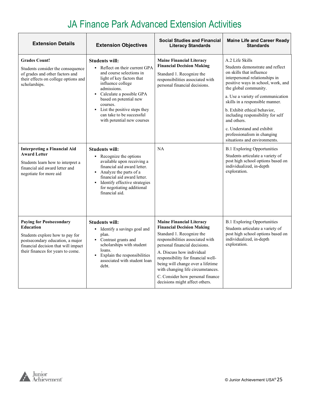| <b>Extension Details</b>                                                                                                                                                                                                                                                                                             | <b>Extension Objectives</b>                                                                                                                                                                                                                                                                                                                                                                                                                                                                                                                                                                                                       | <b>Social Studies and Financial</b><br><b>Literacy Standards</b>                                                                                                                                                                                                                                                                                                                         | <b>Maine Life and Career Ready</b><br><b>Standards</b>                                                                                                                                                                                                                                                                                                                                                                                                                                                                                                                                              |
|----------------------------------------------------------------------------------------------------------------------------------------------------------------------------------------------------------------------------------------------------------------------------------------------------------------------|-----------------------------------------------------------------------------------------------------------------------------------------------------------------------------------------------------------------------------------------------------------------------------------------------------------------------------------------------------------------------------------------------------------------------------------------------------------------------------------------------------------------------------------------------------------------------------------------------------------------------------------|------------------------------------------------------------------------------------------------------------------------------------------------------------------------------------------------------------------------------------------------------------------------------------------------------------------------------------------------------------------------------------------|-----------------------------------------------------------------------------------------------------------------------------------------------------------------------------------------------------------------------------------------------------------------------------------------------------------------------------------------------------------------------------------------------------------------------------------------------------------------------------------------------------------------------------------------------------------------------------------------------------|
| <b>Grades Count!</b><br>Students consider the consequence<br>of grades and other factors and<br>their effects on college options and<br>scholarships.<br><b>Interpreting a Financial Aid</b><br><b>Award Letter</b><br>Students learn how to interpret a<br>financial aid award letter and<br>negotiate for more aid | <b>Students will:</b><br>Reflect on their current GPA<br>$\mathbf{r}$<br>and course selections in<br>light of key factors that<br>influence college<br>admissions.<br>Calculate a possible GPA<br>٠<br>based on potential new<br>courses.<br>List the positive steps they<br>$\mathbf{r}$<br>can take to be successful<br>with potential new courses<br><b>Students will:</b><br>Recognize the options<br>available upon receiving a<br>financial aid award letter.<br>• Analyze the parts of a<br>financial aid award letter.<br>Identify effective strategies<br>$\blacksquare$<br>for negotiating additional<br>financial aid. | <b>Maine Financial Literacy</b><br><b>Financial Decision Making</b><br>Standard 1. Recognize the<br>responsibilities associated with<br>personal financial decisions.<br>NA                                                                                                                                                                                                              | A.2 Life Skills<br>Students demonstrate and reflect<br>on skills that influence<br>interpersonal relationships in<br>positive ways in school, work, and<br>the global community.<br>a. Use a variety of communication<br>skills in a responsible manner.<br>b. Exhibit ethical behavior,<br>including responsibility for self<br>and others.<br>c. Understand and exhibit<br>professionalism in changing<br>situations and environments.<br><b>B.1 Exploring Opportunities</b><br>Students articulate a variety of<br>post high school options based on<br>individualized, in-depth<br>exploration. |
| <b>Paying for Postsecondary</b><br><b>Education</b><br>Students explore how to pay for<br>postsecondary education, a major<br>financial decision that will impact<br>their finances for years to come.                                                                                                               | <b>Students will:</b><br>• Identify a savings goal and<br>plan.<br>Contrast grants and<br>scholarships with student<br>loans.<br>Explain the responsibilities<br>$\blacksquare$<br>associated with student loan<br>debt.                                                                                                                                                                                                                                                                                                                                                                                                          | <b>Maine Financial Literacy</b><br><b>Financial Decision Making</b><br>Standard 1. Recognize the<br>responsibilities associated with<br>personal financial decisions.<br>A. Discuss how individual<br>responsibility for financial well-<br>being will change over a lifetime<br>with changing life circumstances.<br>C. Consider how personal finance<br>decisions might affect others. | <b>B.1 Exploring Opportunities</b><br>Students articulate a variety of<br>post high school options based on<br>individualized, in-depth<br>exploration.                                                                                                                                                                                                                                                                                                                                                                                                                                             |

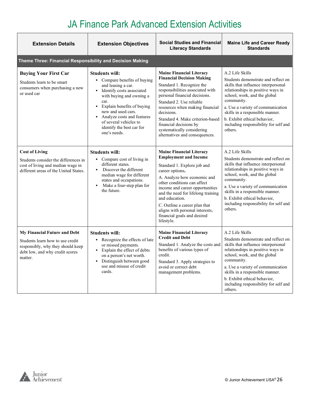| <b>Extension Details</b>                                                                                                                            | <b>Extension Objectives</b>                                                                                                                                                                                                                                                                                             | <b>Social Studies and Financial</b><br><b>Literacy Standards</b>                                                                                                                                                                                                                                                                                                                            | <b>Maine Life and Career Ready</b><br><b>Standards</b>                                                                                                                                                                                                                                                                                       |
|-----------------------------------------------------------------------------------------------------------------------------------------------------|-------------------------------------------------------------------------------------------------------------------------------------------------------------------------------------------------------------------------------------------------------------------------------------------------------------------------|---------------------------------------------------------------------------------------------------------------------------------------------------------------------------------------------------------------------------------------------------------------------------------------------------------------------------------------------------------------------------------------------|----------------------------------------------------------------------------------------------------------------------------------------------------------------------------------------------------------------------------------------------------------------------------------------------------------------------------------------------|
| Theme Three: Financial Responsibility and Decision Making                                                                                           |                                                                                                                                                                                                                                                                                                                         |                                                                                                                                                                                                                                                                                                                                                                                             |                                                                                                                                                                                                                                                                                                                                              |
| <b>Buying Your First Car</b><br>Students learn to be smart<br>consumers when purchasing a new<br>or used car                                        | <b>Students will:</b><br>• Compare benefits of buying<br>and leasing a car.<br>Identify costs associated<br>with buying and owning a<br>car.<br>Explain benefits of buying<br>$\blacksquare$<br>new and used cars.<br>Analyze costs and features<br>of several vehicles to<br>identify the best car for<br>one's needs. | <b>Maine Financial Literacy</b><br><b>Financial Decision Making</b><br>Standard 1. Recognize the<br>responsibilities associated with<br>personal financial decisions.<br>Standard 2. Use reliable<br>resources when making financial<br>decisions.<br>Standard 4. Make criterion-based<br>financial decisions by<br>systematically considering<br>alternatives and consequences.            | A.2 Life Skills<br>Students demonstrate and reflect on<br>skills that influence interpersonal<br>relationships in positive ways in<br>school, work, and the global<br>community.<br>a. Use a variety of communication<br>skills in a responsible manner.<br>b. Exhibit ethical behavior,<br>including responsibility for self and<br>others. |
| <b>Cost of Living</b><br>Students consider the differences in<br>cost of living and median wage in<br>different areas of the United States.         | <b>Students will:</b><br>• Compare cost of living in<br>different states.<br>Discover the different<br>$\blacksquare$<br>median wage for different<br>states and occupations.<br>Make a four-step plan for<br>$\blacksquare$<br>the future.                                                                             | <b>Maine Financial Literacy</b><br><b>Employment and Income</b><br>Standard 1. Explore job and<br>career options.<br>A. Analyze how economic and<br>other conditions can affect<br>income and career opportunities<br>and the need for lifelong training<br>and education.<br>C. Outline a career plan that<br>aligns with personal interests,<br>financial goals and desired<br>lifestyle. | A.2 Life Skills<br>Students demonstrate and reflect on<br>skills that influence interpersonal<br>relationships in positive ways in<br>school, work, and the global<br>community.<br>a. Use a variety of communication<br>skills in a responsible manner.<br>b. Exhibit ethical behavior,<br>including responsibility for self and<br>others. |
| My Financial Future and Debt<br>Students learn how to use credit<br>responsibly, why they should keep<br>debt low, and why credit scores<br>matter. | <b>Students will:</b><br>• Recognize the effects of late<br>or missed payments.<br>• Explain the effect of debts<br>on a person's net worth.<br>Distinguish between good<br>$\blacksquare$<br>use and misuse of credit<br>cards.                                                                                        | <b>Maine Financial Literacy</b><br><b>Credit and Debt</b><br>Standard 1. Analyze the costs and<br>benefits of various types of<br>credit.<br>Standard 3. Apply strategies to<br>avoid or correct debt<br>management problems.                                                                                                                                                               | A.2 Life Skills<br>Students demonstrate and reflect on<br>skills that influence interpersonal<br>relationships in positive ways in<br>school, work, and the global<br>community.<br>a. Use a variety of communication<br>skills in a responsible manner.<br>b. Exhibit ethical behavior,<br>including responsibility for self and<br>others. |

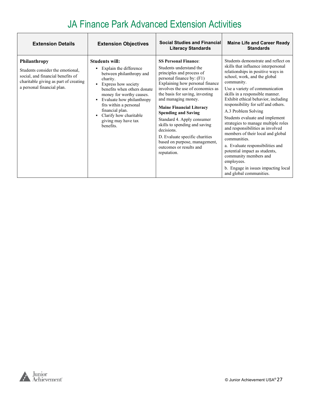| <b>Extension Details</b>                                                                                                                                     | <b>Extension Objectives</b>                                                                                                                                                                                                                                                                                               | <b>Social Studies and Financial</b><br><b>Literacy Standards</b>                                                                                                                                                                                                                                                                                                                                                                                                                                             | <b>Maine Life and Career Ready</b><br><b>Standards</b>                                                                                                                                                                                                                                                                                                                                                                                                                                                                                                                                                                                                                                   |
|--------------------------------------------------------------------------------------------------------------------------------------------------------------|---------------------------------------------------------------------------------------------------------------------------------------------------------------------------------------------------------------------------------------------------------------------------------------------------------------------------|--------------------------------------------------------------------------------------------------------------------------------------------------------------------------------------------------------------------------------------------------------------------------------------------------------------------------------------------------------------------------------------------------------------------------------------------------------------------------------------------------------------|------------------------------------------------------------------------------------------------------------------------------------------------------------------------------------------------------------------------------------------------------------------------------------------------------------------------------------------------------------------------------------------------------------------------------------------------------------------------------------------------------------------------------------------------------------------------------------------------------------------------------------------------------------------------------------------|
| Philanthropy<br>Students consider the emotional,<br>social, and financial benefits of<br>charitable giving as part of creating<br>a personal financial plan. | <b>Students will:</b><br>Explain the difference<br>٠.<br>between philanthropy and<br>charity.<br>• Express how society<br>benefits when others donate<br>money for worthy causes.<br>Evaluate how philanthropy<br>fits within a personal<br>financial plan.<br>Clarify how charitable<br>giving may have tax<br>henefits. | <b>SS Personal Finance:</b><br>Students understand the<br>principles and process of<br>personal finance by: (F1)<br>Explaining how personal finance<br>involves the use of economics as<br>the basis for saving, investing<br>and managing money.<br><b>Maine Financial Literacy</b><br><b>Spending and Saving</b><br>Standard 4. Apply consumer<br>skills to spending and saving<br>decisions.<br>D. Evaluate specific charities<br>based on purpose, management,<br>outcomes or results and<br>reputation. | Students demonstrate and reflect on<br>skills that influence interpersonal<br>relationships in positive ways in<br>school, work, and the global<br>community.<br>Use a variety of communication<br>skills in a responsible manner.<br>Exhibit ethical behavior, including<br>responsibility for self and others.<br>A.3 Problem Solving<br>Students evaluate and implement<br>strategies to manage multiple roles<br>and responsibilities as involved<br>members of their local and global<br>communities.<br>a. Evaluate responsibilities and<br>potential impact as students,<br>community members and<br>employees.<br>b. Engage in issues impacting local<br>and global communities. |

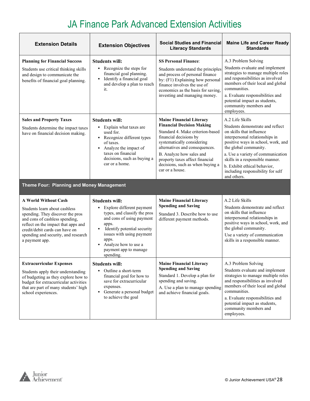| <b>Extension Details</b>                                                                                                                                                                                                                                             | <b>Extension Objectives</b>                                                                                                                                                                                                                                      | <b>Social Studies and Financial</b><br><b>Literacy Standards</b>                                                                                                                                                                                                                                                        | <b>Maine Life and Career Ready</b><br><b>Standards</b>                                                                                                                                                                                                                                                                                       |
|----------------------------------------------------------------------------------------------------------------------------------------------------------------------------------------------------------------------------------------------------------------------|------------------------------------------------------------------------------------------------------------------------------------------------------------------------------------------------------------------------------------------------------------------|-------------------------------------------------------------------------------------------------------------------------------------------------------------------------------------------------------------------------------------------------------------------------------------------------------------------------|----------------------------------------------------------------------------------------------------------------------------------------------------------------------------------------------------------------------------------------------------------------------------------------------------------------------------------------------|
| <b>Planning for Financial Success</b><br>Students use critical thinking skills<br>and design to communicate the<br>benefits of financial goal planning.                                                                                                              | <b>Students will:</b><br>• Recognize the steps for<br>financial goal planning.<br>• Identify a financial goal<br>and develop a plan to reach<br>it.                                                                                                              | <b>SS Personal Finance:</b><br>Students understand the principles<br>and process of personal finance<br>by: (F1) Explaining how personal<br>finance involves the use of<br>economics as the basis for saving,<br>investing and managing money.                                                                          | A.3 Problem Solving<br>Students evaluate and implement<br>strategies to manage multiple roles<br>and responsibilities as involved<br>members of their local and global<br>communities.<br>a. Evaluate responsibilities and<br>potential impact as students,<br>community members and<br>employees.                                           |
| <b>Sales and Property Taxes</b><br>Students determine the impact taxes<br>have on financial decision making.                                                                                                                                                         | <b>Students will:</b><br>• Explain what taxes are<br>used for.<br>Recognize different types<br>٠<br>of taxes.<br>Analyze the impact of<br>٠<br>taxes on financial<br>decisions, such as buying a<br>car or a home.                                               | <b>Maine Financial Literacy</b><br><b>Financial Decision Making</b><br>Standard 4. Make criterion-based<br>financial decisions by<br>systematically considering<br>alternatives and consequences.<br>B. Analyze how sales and<br>property taxes affect financial<br>decisions, such as when buying a<br>car or a house. | A.2 Life Skills<br>Students demonstrate and reflect<br>on skills that influence<br>interpersonal relationships in<br>positive ways in school, work, and<br>the global community.<br>a. Use a variety of communication<br>skills in a responsible manner.<br>b. Exhibit ethical behavior,<br>including responsibility for self<br>and others. |
| Theme Four: Planning and Money Management                                                                                                                                                                                                                            |                                                                                                                                                                                                                                                                  |                                                                                                                                                                                                                                                                                                                         |                                                                                                                                                                                                                                                                                                                                              |
| <b>A World Without Cash</b><br>Students learn about cashless<br>spending. They discover the pros<br>and cons of cashless spending,<br>reflect on the impact that apps and<br>credit/debit cards can have on<br>spending and security, and research<br>a payment app. | <b>Students will:</b><br>Explore different payment<br>٠<br>types, and classify the pros<br>and cons of using payment<br>apps.<br>Identify potential security<br>issues with using payment<br>apps.<br>Analyze how to use a<br>payment app to manage<br>spending. | <b>Maine Financial Literacy</b><br><b>Spending and Saving</b><br>Standard 3. Describe how to use<br>different payment methods.                                                                                                                                                                                          | A.2 Life Skills<br>Students demonstrate and reflect<br>on skills that influence<br>interpersonal relationships in<br>positive ways in school, work, and<br>the global community.<br>Use a variety of communication<br>skills in a responsible manner.                                                                                        |
| <b>Extracurricular Expenses</b><br>Students apply their understanding<br>of budgeting as they explore how to<br>budget for extracurricular activities<br>that are part of many students' high<br>school experiences.                                                 | <b>Students will:</b><br>Outline a short-term<br>financial goal for how to<br>save for extracurricular<br>expenses.<br>Generate a personal budget<br>٠<br>to achieve the goal                                                                                    | <b>Maine Financial Literacy</b><br><b>Spending and Saving</b><br>Standard 1. Develop a plan for<br>spending and saving.<br>A. Use a plan to manage spending<br>and achieve financial goals.                                                                                                                             | A.3 Problem Solving<br>Students evaluate and implement<br>strategies to manage multiple roles<br>and responsibilities as involved<br>members of their local and global<br>communities.<br>a. Evaluate responsibilities and<br>potential impact as students,                                                                                  |

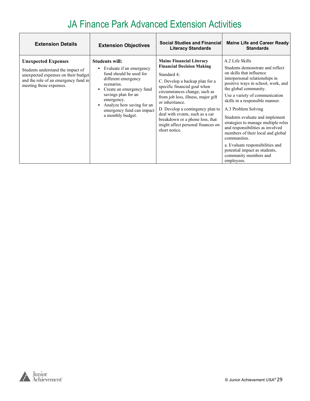| <b>Extension Details</b>                                                                                                                                                  | <b>Extension Objectives</b>                                                                                                                                                                                                                                       | <b>Social Studies and Financial</b><br><b>Literacy Standards</b>                                                                                                                                                                                                                                                                                                                                               | <b>Maine Life and Career Ready</b><br><b>Standards</b>                                                                                                                                                                                                                                                                                                                                                                                                                                                                                                      |
|---------------------------------------------------------------------------------------------------------------------------------------------------------------------------|-------------------------------------------------------------------------------------------------------------------------------------------------------------------------------------------------------------------------------------------------------------------|----------------------------------------------------------------------------------------------------------------------------------------------------------------------------------------------------------------------------------------------------------------------------------------------------------------------------------------------------------------------------------------------------------------|-------------------------------------------------------------------------------------------------------------------------------------------------------------------------------------------------------------------------------------------------------------------------------------------------------------------------------------------------------------------------------------------------------------------------------------------------------------------------------------------------------------------------------------------------------------|
| <b>Unexpected Expenses</b><br>Students understand the impact of<br>unexpected expenses on their budget<br>and the role of an emergency fund in<br>meeting those expenses. | <b>Students will:</b><br>Evaluate if an emergency<br>fund should be used for<br>different emergency<br>scenarios.<br>Create an emergency fund<br>savings plan for an<br>emergency.<br>Analyze how saving for an<br>emergency fund can impact<br>a monthly budget. | <b>Maine Financial Literacy</b><br><b>Financial Decision Making</b><br>Standard 4;<br>C. Develop a backup plan for a<br>specific financial goal when<br>circumstances change, such as<br>from job loss, illness, major gift<br>or inheritance.<br>D. Develop a contingency plan to<br>deal with events, such as a car<br>breakdown or a phone loss, that<br>might affect personal finances on<br>short notice. | A.2 Life Skills<br>Students demonstrate and reflect<br>on skills that influence<br>interpersonal relationships in<br>positive ways in school, work, and<br>the global community.<br>Use a variety of communication<br>skills in a responsible manner.<br>A.3 Problem Solving<br>Students evaluate and implement<br>strategies to manage multiple roles<br>and responsibilities as involved<br>members of their local and global<br>communities.<br>a. Evaluate responsibilities and<br>potential impact as students,<br>community members and<br>employees. |